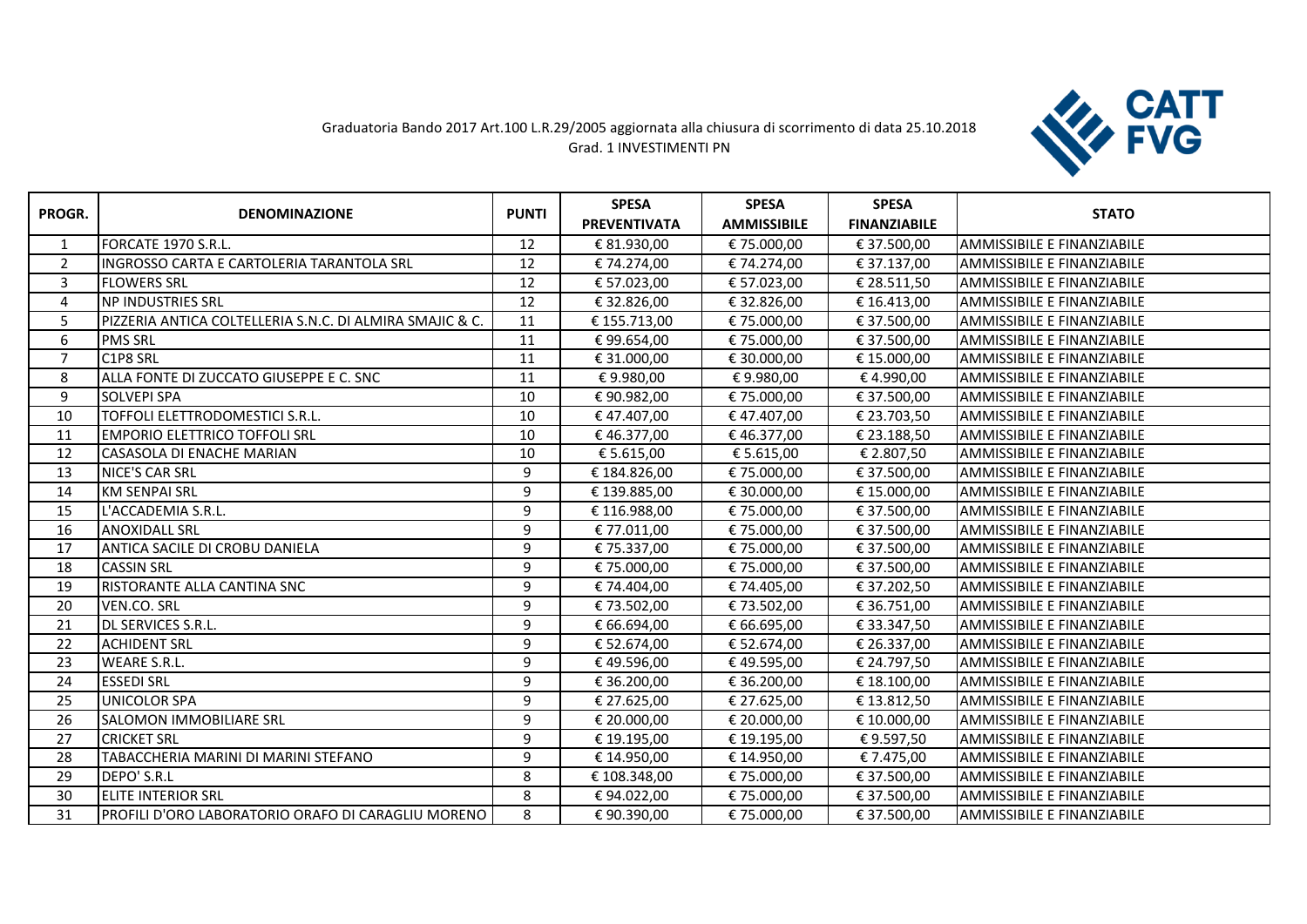## Graduatoria Bando 2017 Art.100 L.R.29/2005 aggiornata alla chiusura di scorrimento di data 25.10.2018 Grad. 1 INVESTIMENTI PN



|                |                                                          |              | <b>SPESA</b>        | <b>SPESA</b>       | <b>SPESA</b>        |                                   |
|----------------|----------------------------------------------------------|--------------|---------------------|--------------------|---------------------|-----------------------------------|
| PROGR.         | <b>DENOMINAZIONE</b>                                     | <b>PUNTI</b> | <b>PREVENTIVATA</b> | <b>AMMISSIBILE</b> | <b>FINANZIABILE</b> | <b>STATO</b>                      |
| 1              | FORCATE 1970 S.R.L.                                      | 12           | € 81.930,00         | € 75.000,00        | € 37.500,00         | IAMMISSIBILE E FINANZIABILE       |
| $\overline{2}$ | <b>INGROSSO CARTA E CARTOLERIA TARANTOLA SRL</b>         | 12           | € 74.274,00         | € 74.274,00        | € 37.137,00         | <b>AMMISSIBILE E FINANZIABILE</b> |
| 3              | <b>FLOWERS SRL</b>                                       | 12           | € 57.023,00         | € 57.023,00        | € 28.511,50         | <b>AMMISSIBILE E FINANZIABILE</b> |
| 4              | <b>NP INDUSTRIES SRL</b>                                 | 12           | € 32.826,00         | € 32.826,00        | € 16.413,00         | <b>AMMISSIBILE E FINANZIABILE</b> |
| 5              | PIZZERIA ANTICA COLTELLERIA S.N.C. DI ALMIRA SMAJIC & C. | 11           | € 155.713,00        | € 75.000,00        | € 37.500,00         | IAMMISSIBILE E FINANZIABILE       |
| 6              | <b>PMS SRL</b>                                           | 11           | € 99.654,00         | € 75.000,00        | € 37.500,00         | <b>AMMISSIBILE E FINANZIABILE</b> |
| $\overline{7}$ | C1P8 SRL                                                 | 11           | € 31.000,00         | € 30.000,00        | € 15.000,00         | IAMMISSIBILE E FINANZIABILE       |
| 8              | ALLA FONTE DI ZUCCATO GIUSEPPE E C. SNC                  | 11           | €9.980,00           | €9.980,00          | €4.990,00           | <b>AMMISSIBILE E FINANZIABILE</b> |
| 9              | <b>SOLVEPI SPA</b>                                       | 10           | € 90.982,00         | € 75.000,00        | € 37.500,00         | IAMMISSIBILE E FINANZIABILE       |
| 10             | TOFFOLI ELETTRODOMESTICI S.R.L.                          | 10           | €47.407,00          | €47.407,00         | € 23.703,50         | <b>AMMISSIBILE E FINANZIABILE</b> |
| 11             | <b>EMPORIO ELETTRICO TOFFOLI SRL</b>                     | 10           | €46.377,00          | € 46.377,00        | € 23.188,50         | <b>AMMISSIBILE E FINANZIABILE</b> |
| 12             | <b>CASASOLA DI ENACHE MARIAN</b>                         | 10           | € 5.615,00          | € 5.615,00         | € 2.807,50          | <b>AMMISSIBILE E FINANZIABILE</b> |
| 13             | <b>NICE'S CAR SRL</b>                                    | 9            | € 184.826,00        | € 75.000,00        | € 37.500,00         | <b>AMMISSIBILE E FINANZIABILE</b> |
| 14             | <b>KM SENPAI SRL</b>                                     | 9            | € 139.885,00        | € 30.000,00        | € 15.000,00         | <b>AMMISSIBILE E FINANZIABILE</b> |
| 15             | L'ACCADEMIA S.R.L.                                       | 9            | € 116.988,00        | € 75.000,00        | € 37.500,00         | <b>AMMISSIBILE E FINANZIABILE</b> |
| 16             | <b>ANOXIDALL SRL</b>                                     | 9            | € 77.011,00         | € 75.000,00        | € 37.500,00         | <b>AMMISSIBILE E FINANZIABILE</b> |
| 17             | ANTICA SACILE DI CROBU DANIELA                           | 9            | € 75.337,00         | € 75.000,00        | € 37.500,00         | <b>AMMISSIBILE E FINANZIABILE</b> |
| 18             | <b>CASSIN SRL</b>                                        | 9            | € 75.000,00         | € 75.000,00        | € 37.500,00         | <b>AMMISSIBILE E FINANZIABILE</b> |
| 19             | RISTORANTE ALLA CANTINA SNC                              | 9            | € 74.404,00         | € 74.405,00        | € 37.202,50         | <b>AMMISSIBILE E FINANZIABILE</b> |
| 20             | VEN.CO. SRL                                              | 9            | € 73.502,00         | € 73.502,00        | € 36.751,00         | <b>AMMISSIBILE E FINANZIABILE</b> |
| 21             | DL SERVICES S.R.L.                                       | 9            | € 66.694,00         | € 66.695,00        | € 33.347,50         | <b>AMMISSIBILE E FINANZIABILE</b> |
| 22             | <b>ACHIDENT SRL</b>                                      | 9            | € 52.674,00         | € 52.674,00        | € 26.337,00         | <b>AMMISSIBILE E FINANZIABILE</b> |
| 23             | <b>WEARE S.R.L.</b>                                      | 9            | €49.596,00          | € 49.595,00        | € 24.797,50         | <b>AMMISSIBILE E FINANZIABILE</b> |
| 24             | <b>ESSEDI SRL</b>                                        | 9            | € 36.200,00         | € 36.200,00        | € 18.100,00         | <b>AMMISSIBILE E FINANZIABILE</b> |
| 25             | <b>UNICOLOR SPA</b>                                      | 9            | € 27.625,00         | € 27.625,00        | € 13.812,50         | IAMMISSIBILE E FINANZIABILE       |
| 26             | <b>SALOMON IMMOBILIARE SRL</b>                           | 9            | € 20.000,00         | € 20.000,00        | € 10.000,00         | <b>AMMISSIBILE E FINANZIABILE</b> |
| 27             | <b>CRICKET SRL</b>                                       | 9            | € 19.195,00         | € 19.195,00        | €9.597,50           | <b>AMMISSIBILE E FINANZIABILE</b> |
| 28             | TABACCHERIA MARINI DI MARINI STEFANO                     | 9            | € 14.950,00         | € 14.950,00        | € 7.475,00          | <b>AMMISSIBILE E FINANZIABILE</b> |
| 29             | DEPO' S.R.L                                              | 8            | € 108.348,00        | € 75.000,00        | € 37.500,00         | <b>AMMISSIBILE E FINANZIABILE</b> |
| 30             | <b>ELITE INTERIOR SRL</b>                                | 8            | € 94.022,00         | € 75.000,00        | € 37.500,00         | AMMISSIBILE E FINANZIABILE        |
| 31             | PROFILI D'ORO LABORATORIO ORAFO DI CARAGLIU MORENO       | 8            | €90.390,00          | €75.000,00         | € 37.500,00         | <b>AMMISSIBILE E FINANZIABILE</b> |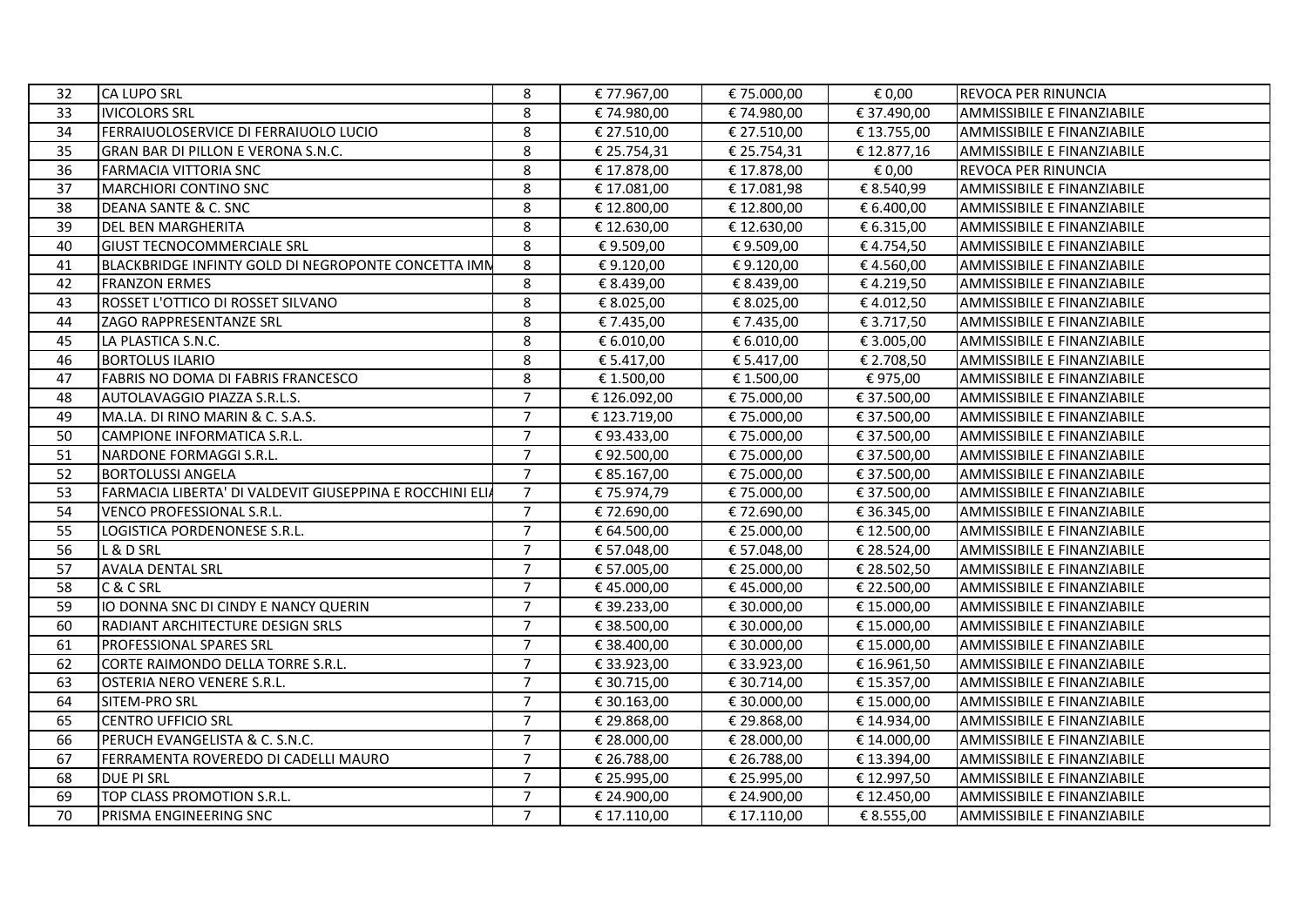| 32       | <b>CA LUPO SRL</b>                                           | 8              | € 77.967,00                  | € 75.000,00               | € 0,00                     | REVOCA PER RINUNCIA        |
|----------|--------------------------------------------------------------|----------------|------------------------------|---------------------------|----------------------------|----------------------------|
| 33       | <b>IVICOLORS SRL</b>                                         | 8              | € 74.980,00                  | €74.980,00                | € 37.490,00                | AMMISSIBILE E FINANZIABILE |
| 34       | FERRAIUOLOSERVICE DI FERRAIUOLO LUCIO                        | 8              | € 27.510,00                  | € 27.510,00               | € 13.755,00                | AMMISSIBILE E FINANZIABILE |
| 35       | GRAN BAR DI PILLON E VERONA S.N.C.                           | 8              | € 25.754,31                  | € 25.754,31               | € 12.877,16                | AMMISSIBILE E FINANZIABILE |
| 36       | <b>FARMACIA VITTORIA SNC</b>                                 | 8              | € 17.878,00                  | €17.878,00                | € 0,00                     | REVOCA PER RINUNCIA        |
| 37       | MARCHIORI CONTINO SNC                                        | 8              | € 17.081,00                  | €17.081,98                | € 8.540,99                 | AMMISSIBILE E FINANZIABILE |
| 38       | DEANA SANTE & C. SNC                                         | 8              | € 12.800,00                  | €12.800,00                | € 6.400,00                 | AMMISSIBILE E FINANZIABILE |
| 39       | <b>DEL BEN MARGHERITA</b>                                    | 8              | € 12.630,00                  | € 12.630,00               | € 6.315,00                 | AMMISSIBILE E FINANZIABILE |
| 40       | <b>GIUST TECNOCOMMERCIALE SRL</b>                            | 8              | €9.509,00                    | €9.509,00                 | €4.754,50                  | AMMISSIBILE E FINANZIABILE |
| 41       | BLACKBRIDGE INFINTY GOLD DI NEGROPONTE CONCETTA IMN          | 8              | €9.120,00                    | €9.120,00                 | €4.560,00                  | AMMISSIBILE E FINANZIABILE |
| 42       | <b>FRANZON ERMES</b>                                         | 8              | € 8.439,00                   | € 8.439,00                | €4.219,50                  | AMMISSIBILE E FINANZIABILE |
| 43       | ROSSET L'OTTICO DI ROSSET SILVANO                            | 8              | € 8.025,00                   | € 8.025,00                | €4.012,50                  | AMMISSIBILE E FINANZIABILE |
| 44       | ZAGO RAPPRESENTANZE SRL                                      | 8              | € 7.435,00                   | € 7.435,00                | € 3.717,50                 | AMMISSIBILE E FINANZIABILE |
| 45       | LA PLASTICA S.N.C.                                           | 8              | € 6.010,00                   | € 6.010,00                | € 3.005,00                 | AMMISSIBILE E FINANZIABILE |
|          |                                                              |                |                              |                           |                            |                            |
| 46<br>47 | <b>BORTOLUS ILARIO</b><br>FABRIS NO DOMA DI FABRIS FRANCESCO | 8<br>8         | € 5.417,00<br>€ 1.500,00     | € 5.417,00<br>€ 1.500,00  | € 2.708,50<br>€975,00      | AMMISSIBILE E FINANZIABILE |
|          |                                                              | $\overline{7}$ |                              |                           |                            | AMMISSIBILE E FINANZIABILE |
| 48<br>49 | AUTOLAVAGGIO PIAZZA S.R.L.S.                                 | $\overline{7}$ | € 126.092,00<br>€ 123.719,00 | € 75.000,00<br>€75.000,00 | € 37.500,00<br>€ 37.500,00 | AMMISSIBILE E FINANZIABILE |
|          | MA.LA. DI RINO MARIN & C. S.A.S.                             | $\overline{7}$ |                              |                           |                            | AMMISSIBILE E FINANZIABILE |
| 50       | CAMPIONE INFORMATICA S.R.L.                                  | $\overline{7}$ | €93.433,00                   | €75.000,00                | € 37.500,00                | AMMISSIBILE E FINANZIABILE |
| 51       | NARDONE FORMAGGI S.R.L.                                      | $\overline{7}$ | €92.500,00                   | €75.000,00                | € 37.500,00                | AMMISSIBILE E FINANZIABILE |
| 52       | <b>BORTOLUSSI ANGELA</b>                                     |                | € 85.167,00                  | € 75.000,00               | € 37.500,00                | AMMISSIBILE E FINANZIABILE |
| 53       | FARMACIA LIBERTA' DI VALDEVIT GIUSEPPINA E ROCCHINI ELIA     | $\overline{7}$ | €75.974,79                   | € 75.000,00               | € 37.500,00                | AMMISSIBILE E FINANZIABILE |
| 54       | <b>VENCO PROFESSIONAL S.R.L.</b>                             | $\overline{7}$ | €72.690,00                   | €72.690,00                | € 36.345,00                | AMMISSIBILE E FINANZIABILE |
| 55       | LOGISTICA PORDENONESE S.R.L.                                 | $\overline{7}$ | € 64.500,00                  | € 25.000,00               | € 12.500,00                | AMMISSIBILE E FINANZIABILE |
| 56       | L & D SRL                                                    | $\overline{7}$ | € 57.048,00                  | € 57.048,00               | € 28.524,00                | AMMISSIBILE E FINANZIABILE |
| 57       | <b>AVALA DENTAL SRL</b>                                      | $\overline{7}$ | € 57.005,00                  | € 25.000,00               | € 28.502,50                | AMMISSIBILE E FINANZIABILE |
| 58       | C & C SRL                                                    | $\overline{7}$ | €45.000,00                   | €45.000,00                | € 22.500,00                | AMMISSIBILE E FINANZIABILE |
| 59       | IO DONNA SNC DI CINDY E NANCY QUERIN                         | $\overline{7}$ | € 39.233,00                  | € 30.000,00               | € 15.000,00                | AMMISSIBILE E FINANZIABILE |
| 60       | RADIANT ARCHITECTURE DESIGN SRLS                             | $\overline{7}$ | € 38.500,00                  | € 30.000,00               | € 15.000,00                | AMMISSIBILE E FINANZIABILE |
| 61       | PROFESSIONAL SPARES SRL                                      | $\overline{7}$ | € 38.400,00                  | € 30.000,00               | € 15.000,00                | AMMISSIBILE E FINANZIABILE |
| 62       | CORTE RAIMONDO DELLA TORRE S.R.L.                            | $\overline{7}$ | € 33.923,00                  | €33.923,00                | € 16.961,50                | AMMISSIBILE E FINANZIABILE |
| 63       | <b>OSTERIA NERO VENERE S.R.L.</b>                            | $\overline{7}$ | € 30.715,00                  | € 30.714,00               | € 15.357,00                | AMMISSIBILE E FINANZIABILE |
| 64       | <b>SITEM-PRO SRL</b>                                         | $\overline{7}$ | € 30.163,00                  | € 30.000,00               | € 15.000,00                | AMMISSIBILE E FINANZIABILE |
| 65       | <b>CENTRO UFFICIO SRL</b>                                    | $\overline{7}$ | € 29.868,00                  | € 29.868,00               | € 14.934,00                | AMMISSIBILE E FINANZIABILE |
| 66       | PERUCH EVANGELISTA & C. S.N.C.                               | $\overline{7}$ | € 28.000,00                  | € 28.000,00               | € 14.000,00                | AMMISSIBILE E FINANZIABILE |
| 67       | FERRAMENTA ROVEREDO DI CADELLI MAURO                         | $\overline{7}$ | € 26.788,00                  | € 26.788,00               | € 13.394,00                | AMMISSIBILE E FINANZIABILE |
| 68       | <b>DUE PI SRL</b>                                            | $\overline{7}$ | € 25.995,00                  | € 25.995,00               | € 12.997,50                | AMMISSIBILE E FINANZIABILE |
| 69       | TOP CLASS PROMOTION S.R.L.                                   | $\overline{7}$ | € 24.900,00                  | € 24.900,00               | € 12.450,00                | AMMISSIBILE E FINANZIABILE |
| 70       | PRISMA ENGINEERING SNC                                       | $\overline{7}$ | € 17.110,00                  | € 17.110,00               | € 8.555,00                 | AMMISSIBILE E FINANZIABILE |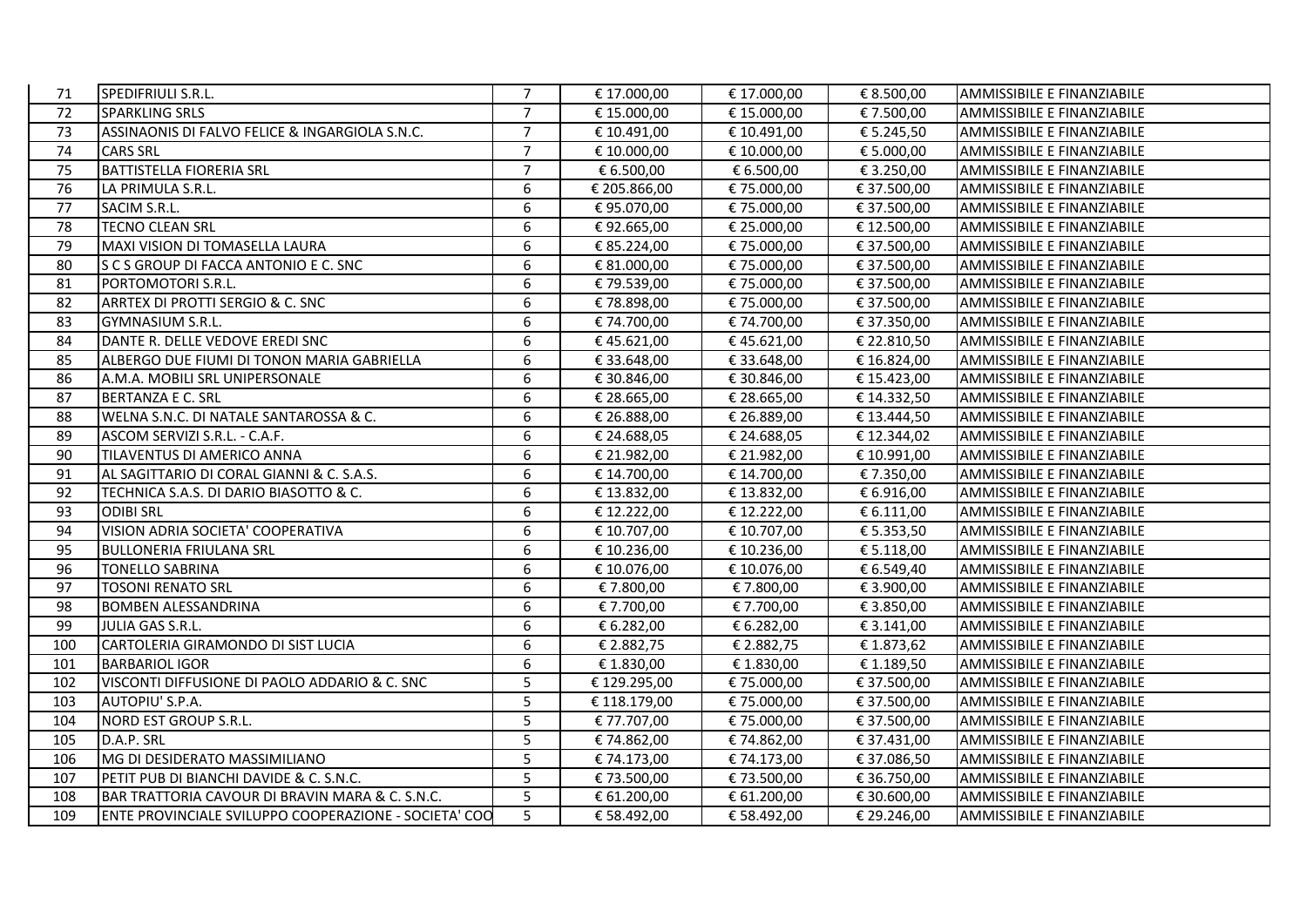| 71  | SPEDIFRIULI S.R.L.                                    | $\overline{7}$ | € 17.000,00  | € 17.000,00 | € 8.500,00  | AMMISSIBILE E FINANZIABILE        |
|-----|-------------------------------------------------------|----------------|--------------|-------------|-------------|-----------------------------------|
| 72  | <b>SPARKLING SRLS</b>                                 | $\overline{7}$ | € 15.000,00  | € 15.000,00 | € 7.500,00  | <b>AMMISSIBILE E FINANZIABILE</b> |
| 73  | ASSINAONIS DI FALVO FELICE & INGARGIOLA S.N.C.        | $\overline{7}$ | € 10.491,00  | € 10.491,00 | € 5.245,50  | AMMISSIBILE E FINANZIABILE        |
| 74  | <b>CARS SRL</b>                                       | $\overline{7}$ | € 10.000,00  | € 10.000,00 | € 5.000,00  | <b>AMMISSIBILE E FINANZIABILE</b> |
| 75  | <b>BATTISTELLA FIORERIA SRL</b>                       | $\overline{7}$ | € 6.500,00   | € 6.500,00  | € 3.250,00  | AMMISSIBILE E FINANZIABILE        |
| 76  | LA PRIMULA S.R.L.                                     | 6              | € 205.866,00 | €75.000,00  | € 37.500,00 | AMMISSIBILE E FINANZIABILE        |
| 77  | SACIM S.R.L.                                          | 6              | €95.070,00   | € 75.000,00 | € 37.500,00 | AMMISSIBILE E FINANZIABILE        |
| 78  | <b>TECNO CLEAN SRL</b>                                | 6              | €92.665,00   | € 25.000,00 | € 12.500,00 | AMMISSIBILE E FINANZIABILE        |
| 79  | MAXI VISION DI TOMASELLA LAURA                        | 6              | € 85.224,00  | € 75.000,00 | € 37.500,00 | AMMISSIBILE E FINANZIABILE        |
| 80  | S C S GROUP DI FACCA ANTONIO E C. SNC                 | 6              | € 81.000,00  | € 75.000,00 | € 37.500,00 | AMMISSIBILE E FINANZIABILE        |
| 81  | PORTOMOTORI S.R.L.                                    | 6              | € 79.539,00  | €75.000,00  | € 37.500,00 | <b>AMMISSIBILE E FINANZIABILE</b> |
| 82  | ARRTEX DI PROTTI SERGIO & C. SNC                      | 6              | €78.898,00   | €75.000,00  | € 37.500,00 | AMMISSIBILE E FINANZIABILE        |
| 83  | <b>GYMNASIUM S.R.L.</b>                               | 6              | € 74.700,00  | € 74.700,00 | € 37.350,00 | <b>AMMISSIBILE E FINANZIABILE</b> |
| 84  | DANTE R. DELLE VEDOVE EREDI SNC                       | 6              | €45.621,00   | €45.621,00  | € 22.810,50 | AMMISSIBILE E FINANZIABILE        |
| 85  | ALBERGO DUE FIUMI DI TONON MARIA GABRIELLA            | 6              | € 33.648,00  | € 33.648,00 | € 16.824,00 | AMMISSIBILE E FINANZIABILE        |
| 86  | A.M.A. MOBILI SRL UNIPERSONALE                        | 6              | € 30.846,00  | € 30.846,00 | € 15.423,00 | AMMISSIBILE E FINANZIABILE        |
| 87  | BERTANZA E C. SRL                                     | 6              | € 28.665,00  | € 28.665,00 | € 14.332,50 | AMMISSIBILE E FINANZIABILE        |
| 88  | <b>WELNA S.N.C. DI NATALE SANTAROSSA &amp; C.</b>     | 6              | € 26.888,00  | € 26.889,00 | € 13.444,50 | AMMISSIBILE E FINANZIABILE        |
| 89  | ASCOM SERVIZI S.R.L. - C.A.F.                         | 6              | € 24.688,05  | € 24.688,05 | € 12.344,02 | <b>AMMISSIBILE E FINANZIABILE</b> |
| 90  | TILAVENTUS DI AMERICO ANNA                            | 6              | € 21.982,00  | € 21.982,00 | € 10.991,00 | AMMISSIBILE E FINANZIABILE        |
| 91  | AL SAGITTARIO DI CORAL GIANNI & C. S.A.S.             | 6              | € 14.700,00  | € 14.700,00 | € 7.350,00  | <b>AMMISSIBILE E FINANZIABILE</b> |
| 92  | TECHNICA S.A.S. DI DARIO BIASOTTO & C.                | 6              | € 13.832,00  | €13.832,00  | € 6.916,00  | AMMISSIBILE E FINANZIABILE        |
| 93  | <b>ODIBI SRL</b>                                      | 6              | € 12.222,00  | € 12.222,00 | € 6.111,00  | AMMISSIBILE E FINANZIABILE        |
| 94  | VISION ADRIA SOCIETA' COOPERATIVA                     | 6              | € 10.707,00  | € 10.707,00 | € 5.353,50  | AMMISSIBILE E FINANZIABILE        |
| 95  | <b>BULLONERIA FRIULANA SRL</b>                        | 6              | € 10.236,00  | € 10.236,00 | € 5.118,00  | AMMISSIBILE E FINANZIABILE        |
| 96  | <b>TONELLO SABRINA</b>                                | 6              | € 10.076,00  | € 10.076,00 | € 6.549,40  | AMMISSIBILE E FINANZIABILE        |
| 97  | <b>TOSONI RENATO SRL</b>                              | 6              | €7.800,00    | € 7.800,00  | € 3.900,00  | AMMISSIBILE E FINANZIABILE        |
| 98  | <b>BOMBEN ALESSANDRINA</b>                            | 6              | € 7.700,00   | € 7.700,00  | € 3.850,00  | <b>AMMISSIBILE E FINANZIABILE</b> |
| 99  | JULIA GAS S.R.L.                                      | 6              | € 6.282,00   | € 6.282,00  | € 3.141,00  | AMMISSIBILE E FINANZIABILE        |
| 100 | CARTOLERIA GIRAMONDO DI SIST LUCIA                    | 6              | € 2.882,75   | € 2.882,75  | € 1.873,62  | <b>AMMISSIBILE E FINANZIABILE</b> |
| 101 | <b>BARBARIOL IGOR</b>                                 | 6              | € 1.830,00   | € 1.830,00  | € 1.189,50  | AMMISSIBILE E FINANZIABILE        |
| 102 | VISCONTI DIFFUSIONE DI PAOLO ADDARIO & C. SNC         | 5              | € 129.295,00 | €75.000,00  | € 37.500,00 | AMMISSIBILE E FINANZIABILE        |
| 103 | AUTOPIU' S.P.A.                                       | 5 <sup>1</sup> | € 118.179,00 | €75.000,00  | € 37.500,00 | AMMISSIBILE E FINANZIABILE        |
| 104 | NORD EST GROUP S.R.L.                                 | 5 <sup>1</sup> | € 77.707,00  | € 75.000,00 | € 37.500,00 | AMMISSIBILE E FINANZIABILE        |
| 105 | D.A.P. SRL                                            | 5              | €74.862,00   | €74.862,00  | € 37.431,00 | AMMISSIBILE E FINANZIABILE        |
| 106 | MG DI DESIDERATO MASSIMILIANO                         | 5              | € 74.173,00  | € 74.173,00 | €37.086,50  | <b>AMMISSIBILE E FINANZIABILE</b> |
| 107 | PETIT PUB DI BIANCHI DAVIDE & C. S.N.C.               | 5              | € 73.500,00  | €73.500,00  | € 36.750,00 | AMMISSIBILE E FINANZIABILE        |
| 108 | BAR TRATTORIA CAVOUR DI BRAVIN MARA & C. S.N.C.       | 5 <sup>1</sup> | € 61.200,00  | € 61.200,00 | € 30.600,00 | AMMISSIBILE E FINANZIABILE        |
| 109 | ENTE PROVINCIALE SVILUPPO COOPERAZIONE - SOCIETA' COO | 5              | € 58.492,00  | € 58.492,00 | € 29.246,00 | AMMISSIBILE E FINANZIABILE        |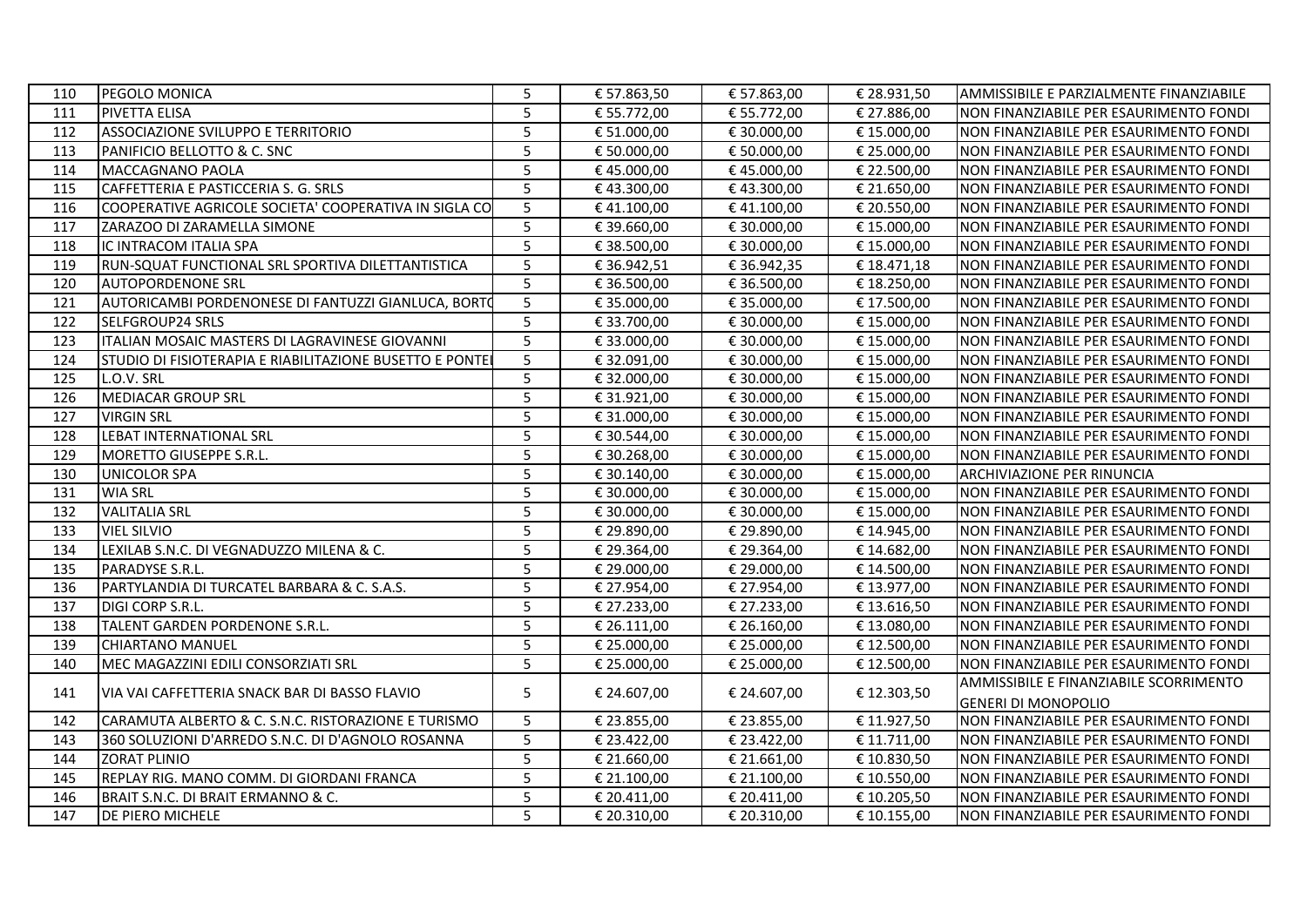| 110 | PEGOLO MONICA                                            | 5              | € 57.863,50 | € 57.863,00 | € 28.931,50 | AMMISSIBILE E PARZIALMENTE FINANZIABILE |
|-----|----------------------------------------------------------|----------------|-------------|-------------|-------------|-----------------------------------------|
| 111 | PIVETTA ELISA                                            | 5              | € 55.772,00 | € 55.772,00 | € 27.886,00 | NON FINANZIABILE PER ESAURIMENTO FONDI  |
| 112 | ASSOCIAZIONE SVILUPPO E TERRITORIO                       | 5              | € 51.000,00 | € 30.000,00 | €15.000,00  | NON FINANZIABILE PER ESAURIMENTO FONDI  |
| 113 | PANIFICIO BELLOTTO & C. SNC                              | 5              | € 50.000,00 | € 50.000,00 | € 25.000,00 | NON FINANZIABILE PER ESAURIMENTO FONDI  |
| 114 | <b>MACCAGNANO PAOLA</b>                                  | 5              | €45.000,00  | €45.000,00  | € 22.500,00 | NON FINANZIABILE PER ESAURIMENTO FONDI  |
| 115 | CAFFETTERIA E PASTICCERIA S. G. SRLS                     | 5              | €43.300,00  | €43.300,00  | € 21.650,00 | NON FINANZIABILE PER ESAURIMENTO FONDI  |
| 116 | COOPERATIVE AGRICOLE SOCIETA' COOPERATIVA IN SIGLA CO    | 5              | €41.100,00  | €41.100,00  | € 20.550,00 | NON FINANZIABILE PER ESAURIMENTO FONDI  |
| 117 | ZARAZOO DI ZARAMELLA SIMONE                              | 5              | € 39.660,00 | € 30.000,00 | € 15.000,00 | NON FINANZIABILE PER ESAURIMENTO FONDI  |
| 118 | IC INTRACOM ITALIA SPA                                   | 5              | € 38.500,00 | € 30.000,00 | € 15.000,00 | NON FINANZIABILE PER ESAURIMENTO FONDI  |
| 119 | RUN-SQUAT FUNCTIONAL SRL SPORTIVA DILETTANTISTICA        | 5              | € 36.942,51 | € 36.942,35 | €18.471,18  | NON FINANZIABILE PER ESAURIMENTO FONDI  |
| 120 | <b>AUTOPORDENONE SRL</b>                                 | 5              | € 36.500,00 | € 36.500,00 | € 18.250,00 | NON FINANZIABILE PER ESAURIMENTO FONDI  |
| 121 | AUTORICAMBI PORDENONESE DI FANTUZZI GIANLUCA, BORTO      | 5              | € 35.000,00 | € 35.000,00 | € 17.500,00 | NON FINANZIABILE PER ESAURIMENTO FONDI  |
| 122 | <b>SELFGROUP24 SRLS</b>                                  | 5              | € 33.700,00 | € 30.000,00 | € 15.000,00 | NON FINANZIABILE PER ESAURIMENTO FONDI  |
| 123 | ITALIAN MOSAIC MASTERS DI LAGRAVINESE GIOVANNI           | 5              | € 33.000,00 | € 30.000,00 | € 15.000,00 | NON FINANZIABILE PER ESAURIMENTO FONDI  |
| 124 | STUDIO DI FISIOTERAPIA E RIABILITAZIONE BUSETTO E PONTEI | 5              | € 32.091,00 | € 30.000,00 | €15.000,00  | NON FINANZIABILE PER ESAURIMENTO FONDI  |
| 125 | L.O.V. SRL                                               | 5              | € 32.000,00 | € 30.000,00 | € 15.000,00 | NON FINANZIABILE PER ESAURIMENTO FONDI  |
| 126 | <b>MEDIACAR GROUP SRL</b>                                | 5              | € 31.921,00 | € 30.000,00 | € 15.000,00 | NON FINANZIABILE PER ESAURIMENTO FONDI  |
| 127 | <b>VIRGIN SRL</b>                                        | 5              | € 31.000,00 | € 30.000,00 | € 15.000,00 | NON FINANZIABILE PER ESAURIMENTO FONDI  |
| 128 | LEBAT INTERNATIONAL SRL                                  | 5              | € 30.544,00 | € 30.000,00 | €15.000,00  | NON FINANZIABILE PER ESAURIMENTO FONDI  |
| 129 | MORETTO GIUSEPPE S.R.L.                                  | 5              | € 30.268,00 | € 30.000,00 | € 15.000,00 | NON FINANZIABILE PER ESAURIMENTO FONDI  |
| 130 | <b>UNICOLOR SPA</b>                                      | 5              | € 30.140,00 | € 30.000,00 | € 15.000,00 | ARCHIVIAZIONE PER RINUNCIA              |
| 131 | <b>WIA SRL</b>                                           | 5              | € 30.000,00 | € 30.000,00 | € 15.000,00 | NON FINANZIABILE PER ESAURIMENTO FONDI  |
| 132 | <b>VALITALIA SRL</b>                                     | 5              | € 30.000,00 | € 30.000,00 | € 15.000,00 | NON FINANZIABILE PER ESAURIMENTO FONDI  |
| 133 | <b>VIEL SILVIO</b>                                       | 5              | € 29.890,00 | € 29.890,00 | € 14.945,00 | NON FINANZIABILE PER ESAURIMENTO FONDI  |
| 134 | LEXILAB S.N.C. DI VEGNADUZZO MILENA & C.                 | 5              | € 29.364,00 | € 29.364,00 | € 14.682,00 | NON FINANZIABILE PER ESAURIMENTO FONDI  |
| 135 | PARADYSE S.R.L.                                          | 5              | € 29.000,00 | € 29.000,00 | € 14.500,00 | NON FINANZIABILE PER ESAURIMENTO FONDI  |
| 136 | PARTYLANDIA DI TURCATEL BARBARA & C. S.A.S.              | 5              | € 27.954,00 | € 27.954,00 | € 13.977,00 | NON FINANZIABILE PER ESAURIMENTO FONDI  |
| 137 | DIGI CORP S.R.L.                                         | 5              | € 27.233,00 | € 27.233,00 | €13.616,50  | NON FINANZIABILE PER ESAURIMENTO FONDI  |
| 138 | TALENT GARDEN PORDENONE S.R.L.                           | 5              | € 26.111,00 | € 26.160,00 | €13.080,00  | NON FINANZIABILE PER ESAURIMENTO FONDI  |
| 139 | <b>CHIARTANO MANUEL</b>                                  | 5              | € 25.000,00 | € 25.000,00 | € 12.500,00 | NON FINANZIABILE PER ESAURIMENTO FONDI  |
| 140 | MEC MAGAZZINI EDILI CONSORZIATI SRL                      | 5              | € 25.000,00 | € 25.000,00 | € 12.500,00 | NON FINANZIABILE PER ESAURIMENTO FONDI  |
| 141 | VIA VAI CAFFETTERIA SNACK BAR DI BASSO FLAVIO            | 5              | € 24.607,00 | € 24.607,00 | € 12.303,50 | AMMISSIBILE E FINANZIABILE SCORRIMENTO  |
|     |                                                          |                |             |             |             | <b>GENERI DI MONOPOLIO</b>              |
| 142 | CARAMUTA ALBERTO & C. S.N.C. RISTORAZIONE E TURISMO      | 5              | € 23.855,00 | € 23.855,00 | € 11.927,50 | NON FINANZIABILE PER ESAURIMENTO FONDI  |
| 143 | 360 SOLUZIONI D'ARREDO S.N.C. DI D'AGNOLO ROSANNA        | 5 <sup>5</sup> | € 23.422,00 | € 23.422,00 | € 11.711,00 | NON FINANZIABILE PER ESAURIMENTO FONDI  |
| 144 | <b>ZORAT PLINIO</b>                                      | 5              | € 21.660,00 | € 21.661,00 | € 10.830,50 | NON FINANZIABILE PER ESAURIMENTO FONDI  |
| 145 | REPLAY RIG. MANO COMM. DI GIORDANI FRANCA                | 5              | € 21.100,00 | € 21.100,00 | € 10.550,00 | NON FINANZIABILE PER ESAURIMENTO FONDI  |
| 146 | BRAIT S.N.C. DI BRAIT ERMANNO & C.                       | 5              | € 20.411,00 | € 20.411,00 | € 10.205,50 | NON FINANZIABILE PER ESAURIMENTO FONDI  |
| 147 | DE PIERO MICHELE                                         | 5              | € 20.310,00 | € 20.310,00 | € 10.155,00 | NON FINANZIABILE PER ESAURIMENTO FONDI  |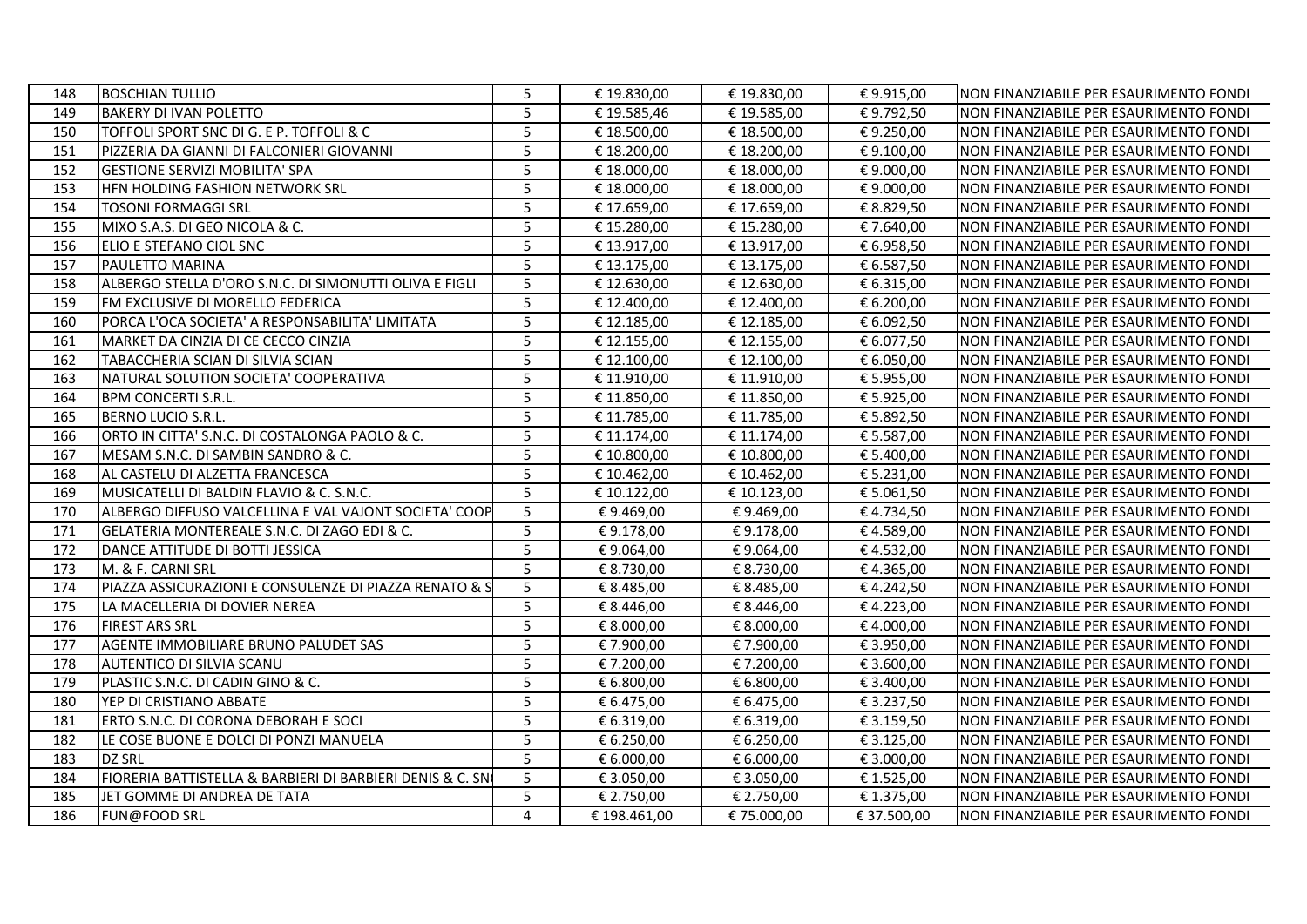| 148 | <b>BOSCHIAN TULLIO</b>                                    | 5               | € 19.830,00  | € 19.830,00 | €9.915,00   | NON FINANZIABILE PER ESAURIMENTO FONDI |
|-----|-----------------------------------------------------------|-----------------|--------------|-------------|-------------|----------------------------------------|
| 149 | <b>BAKERY DI IVAN POLETTO</b>                             | 5               | € 19.585,46  | € 19.585,00 | €9.792,50   | NON FINANZIABILE PER ESAURIMENTO FONDI |
| 150 | TOFFOLI SPORT SNC DI G. E P. TOFFOLI & C                  | 5               | € 18.500,00  | €18.500,00  | €9.250,00   | NON FINANZIABILE PER ESAURIMENTO FONDI |
| 151 | PIZZERIA DA GIANNI DI FALCONIERI GIOVANNI                 | 5               | € 18.200,00  | € 18.200,00 | €9.100,00   | NON FINANZIABILE PER ESAURIMENTO FONDI |
| 152 | <b>GESTIONE SERVIZI MOBILITA' SPA</b>                     | 5               | € 18.000,00  | €18.000,00  | €9.000,00   | NON FINANZIABILE PER ESAURIMENTO FONDI |
| 153 | HFN HOLDING FASHION NETWORK SRL                           | 5               | € 18.000,00  | €18.000,00  | €9.000,00   | NON FINANZIABILE PER ESAURIMENTO FONDI |
| 154 | TOSONI FORMAGGI SRL                                       | 5               | € 17.659,00  | €17.659,00  | € 8.829,50  | NON FINANZIABILE PER ESAURIMENTO FONDI |
| 155 | MIXO S.A.S. DI GEO NICOLA & C.                            | 5               | € 15.280,00  | € 15.280,00 | €7.640,00   | NON FINANZIABILE PER ESAURIMENTO FONDI |
| 156 | ELIO E STEFANO CIOL SNC                                   | 5               | € 13.917,00  | € 13.917,00 | € 6.958,50  | NON FINANZIABILE PER ESAURIMENTO FONDI |
| 157 | PAULETTO MARINA                                           | $\overline{5}$  | € 13.175,00  | € 13.175,00 | € 6.587,50  | NON FINANZIABILE PER ESAURIMENTO FONDI |
| 158 | ALBERGO STELLA D'ORO S.N.C. DI SIMONUTTI OLIVA E FIGLI    | 5               | € 12.630,00  | €12.630,00  | € 6.315,00  | NON FINANZIABILE PER ESAURIMENTO FONDI |
| 159 | FM EXCLUSIVE DI MORELLO FEDERICA                          | 5               | € 12.400,00  | € 12.400,00 | € 6.200,00  | NON FINANZIABILE PER ESAURIMENTO FONDI |
| 160 | PORCA L'OCA SOCIETA' A RESPONSABILITA' LIMITATA           | 5               | € 12.185,00  | € 12.185,00 | € 6.092,50  | NON FINANZIABILE PER ESAURIMENTO FONDI |
| 161 | MARKET DA CINZIA DI CE CECCO CINZIA                       | 5               | € 12.155,00  | € 12.155,00 | € 6.077,50  | NON FINANZIABILE PER ESAURIMENTO FONDI |
| 162 | TABACCHERIA SCIAN DI SILVIA SCIAN                         | 5               | € 12.100,00  | € 12.100,00 | € 6.050,00  | NON FINANZIABILE PER ESAURIMENTO FONDI |
| 163 | INATURAL SOLUTION SOCIETA' COOPERATIVA                    | 5               | € 11.910,00  | € 11.910,00 | € 5.955,00  | NON FINANZIABILE PER ESAURIMENTO FONDI |
| 164 | <b>BPM CONCERTI S.R.L.</b>                                | 5               | € 11.850,00  | € 11.850,00 | € 5.925,00  | NON FINANZIABILE PER ESAURIMENTO FONDI |
| 165 | BERNO LUCIO S.R.L.                                        | 5               | € 11.785,00  | € 11.785,00 | € 5.892,50  | NON FINANZIABILE PER ESAURIMENTO FONDI |
| 166 | ORTO IN CITTA' S.N.C. DI COSTALONGA PAOLO & C.            | 5               | € 11.174,00  | € 11.174,00 | € 5.587,00  | NON FINANZIABILE PER ESAURIMENTO FONDI |
| 167 | MESAM S.N.C. DI SAMBIN SANDRO & C.                        | 5               | € 10.800,00  | € 10.800,00 | € 5.400,00  | NON FINANZIABILE PER ESAURIMENTO FONDI |
| 168 | AL CASTELU DI ALZETTA FRANCESCA                           | 5               | € 10.462,00  | € 10.462,00 | € 5.231,00  | NON FINANZIABILE PER ESAURIMENTO FONDI |
| 169 | MUSICATELLI DI BALDIN FLAVIO & C. S.N.C.                  | 5               | € 10.122,00  | € 10.123,00 | € 5.061,50  | NON FINANZIABILE PER ESAURIMENTO FONDI |
| 170 | ALBERGO DIFFUSO VALCELLINA E VAL VAJONT SOCIETA' COOP     | 5               | €9.469,00    | €9.469,00   | €4.734,50   | NON FINANZIABILE PER ESAURIMENTO FONDI |
| 171 | GELATERIA MONTEREALE S.N.C. DI ZAGO EDI & C.              | 5               | €9.178,00    | €9.178,00   | €4.589,00   | NON FINANZIABILE PER ESAURIMENTO FONDI |
| 172 | DANCE ATTITUDE DI BOTTI JESSICA                           | 5               | €9.064,00    | €9.064,00   | €4.532,00   | NON FINANZIABILE PER ESAURIMENTO FONDI |
| 173 | M. & F. CARNI SRL                                         | $5\overline{5}$ | € 8.730,00   | € 8.730,00  | €4.365,00   | NON FINANZIABILE PER ESAURIMENTO FONDI |
| 174 | PIAZZA ASSICURAZIONI E CONSULENZE DI PIAZZA RENATO & S    | 5               | € 8.485,00   | € 8.485,00  | €4.242,50   | NON FINANZIABILE PER ESAURIMENTO FONDI |
| 175 | LA MACELLERIA DI DOVIER NEREA                             | 5               | € 8.446,00   | € 8.446,00  | €4.223,00   | NON FINANZIABILE PER ESAURIMENTO FONDI |
| 176 | <b>FIREST ARS SRL</b>                                     | 5               | € 8.000,00   | € 8.000,00  | €4.000,00   | NON FINANZIABILE PER ESAURIMENTO FONDI |
| 177 | AGENTE IMMOBILIARE BRUNO PALUDET SAS                      | 5               | €7.900,00    | € 7.900,00  | € 3.950,00  | NON FINANZIABILE PER ESAURIMENTO FONDI |
| 178 | AUTENTICO DI SILVIA SCANU                                 | 5               | €7.200,00    | €7.200,00   | € 3.600,00  | NON FINANZIABILE PER ESAURIMENTO FONDI |
| 179 | PLASTIC S.N.C. DI CADIN GINO & C.                         | 5               | € 6.800,00   | € 6.800,00  | € 3.400,00  | NON FINANZIABILE PER ESAURIMENTO FONDI |
| 180 | YEP DI CRISTIANO ABBATE                                   | 5               | € 6.475,00   | € 6.475,00  | € 3.237,50  | NON FINANZIABILE PER ESAURIMENTO FONDI |
| 181 | ERTO S.N.C. DI CORONA DEBORAH E SOCI                      | 5               | € 6.319,00   | € 6.319,00  | € 3.159,50  | NON FINANZIABILE PER ESAURIMENTO FONDI |
| 182 | LE COSE BUONE E DOLCI DI PONZI MANUELA                    | 5               | € 6.250,00   | € 6.250,00  | € 3.125,00  | NON FINANZIABILE PER ESAURIMENTO FONDI |
| 183 | <b>DZ SRL</b>                                             | 5               | € 6.000,00   | € 6.000,00  | € 3.000,00  | NON FINANZIABILE PER ESAURIMENTO FONDI |
| 184 | FIORERIA BATTISTELLA & BARBIERI DI BARBIERI DENIS & C. SN | 5               | € 3.050,00   | € 3.050,00  | € 1.525,00  | NON FINANZIABILE PER ESAURIMENTO FONDI |
| 185 | JET GOMME DI ANDREA DE TATA                               | 5               | € 2.750,00   | € 2.750,00  | € 1.375,00  | NON FINANZIABILE PER ESAURIMENTO FONDI |
| 186 | FUN@FOOD SRL                                              | 4               | € 198.461,00 | €75.000,00  | € 37.500,00 | NON FINANZIABILE PER ESAURIMENTO FONDI |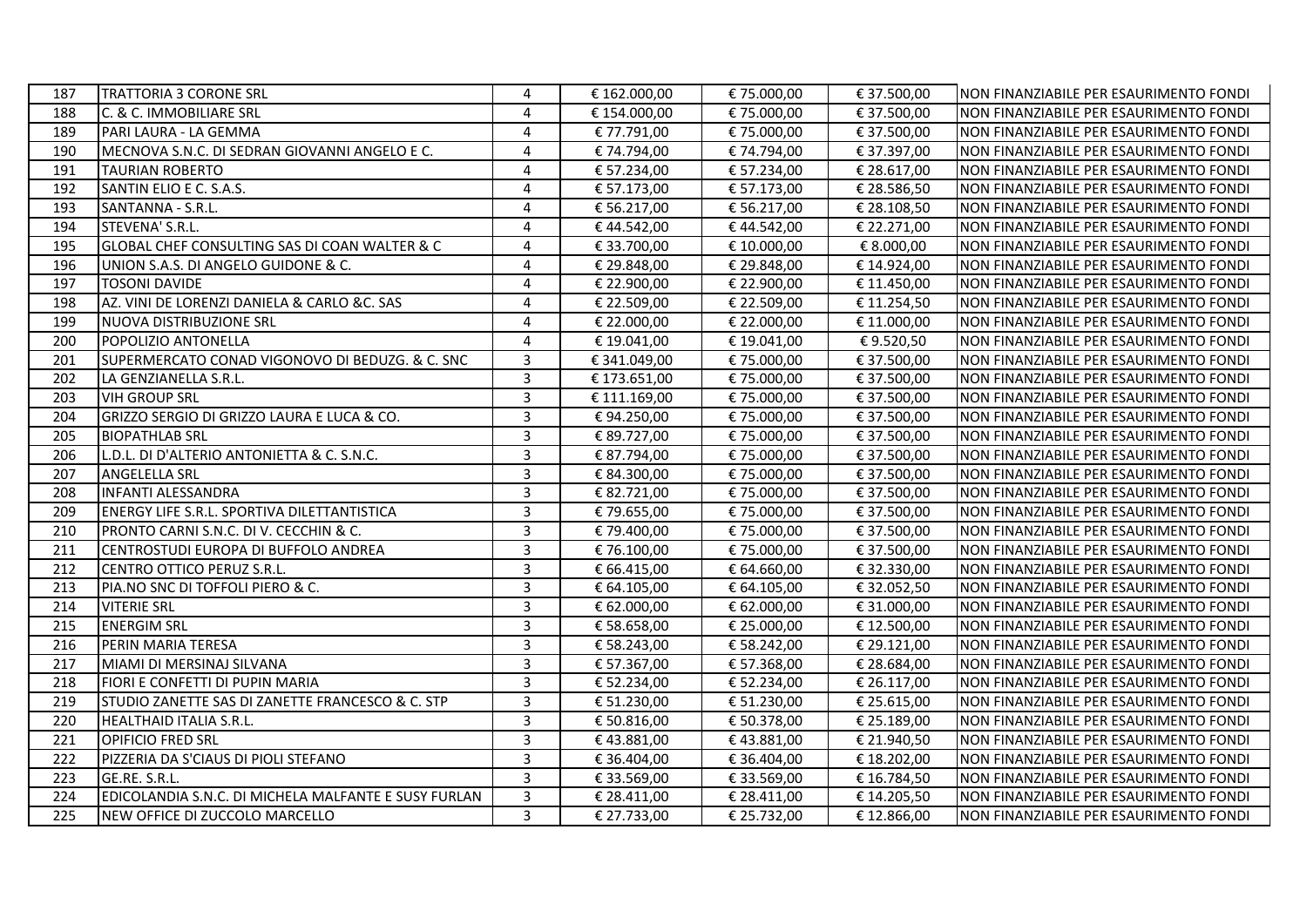| 187 | <b>TRATTORIA 3 CORONE SRL</b>                        | 4              | € 162.000,00 | €75.000,00  | € 37.500,00 | NON FINANZIABILE PER ESAURIMENTO FONDI |
|-----|------------------------------------------------------|----------------|--------------|-------------|-------------|----------------------------------------|
| 188 | C. & C. IMMOBILIARE SRL                              | $\overline{4}$ | € 154.000,00 | €75.000,00  | € 37.500,00 | NON FINANZIABILE PER ESAURIMENTO FONDI |
| 189 | PARI LAURA - LA GEMMA                                | $\overline{4}$ | € 77.791,00  | €75.000,00  | € 37.500,00 | NON FINANZIABILE PER ESAURIMENTO FONDI |
| 190 | MECNOVA S.N.C. DI SEDRAN GIOVANNI ANGELO E C.        | $\overline{4}$ | € 74.794,00  | €74.794,00  | € 37.397,00 | NON FINANZIABILE PER ESAURIMENTO FONDI |
| 191 | <b>TAURIAN ROBERTO</b>                               | 4              | € 57.234,00  | € 57.234,00 | € 28.617,00 | NON FINANZIABILE PER ESAURIMENTO FONDI |
| 192 | SANTIN ELIO E C. S.A.S.                              | 4              | € 57.173,00  | € 57.173,00 | € 28.586,50 | NON FINANZIABILE PER ESAURIMENTO FONDI |
| 193 | SANTANNA - S.R.L.                                    | 4              | € 56.217,00  | € 56.217,00 | € 28.108,50 | NON FINANZIABILE PER ESAURIMENTO FONDI |
| 194 | STEVENA' S.R.L.                                      | 4              | €44.542,00   | €44.542,00  | € 22.271,00 | NON FINANZIABILE PER ESAURIMENTO FONDI |
| 195 | GLOBAL CHEF CONSULTING SAS DI COAN WALTER & C        | $\overline{4}$ | € 33.700,00  | € 10.000,00 | € 8.000,00  | NON FINANZIABILE PER ESAURIMENTO FONDI |
| 196 | UNION S.A.S. DI ANGELO GUIDONE & C.                  | 4              | € 29.848,00  | € 29.848,00 | € 14.924,00 | NON FINANZIABILE PER ESAURIMENTO FONDI |
| 197 | <b>TOSONI DAVIDE</b>                                 | $\overline{4}$ | € 22.900,00  | € 22.900,00 | € 11.450,00 | NON FINANZIABILE PER ESAURIMENTO FONDI |
| 198 | AZ. VINI DE LORENZI DANIELA & CARLO &C. SAS          | $\overline{4}$ | € 22.509,00  | € 22.509,00 | € 11.254,50 | NON FINANZIABILE PER ESAURIMENTO FONDI |
| 199 | NUOVA DISTRIBUZIONE SRL                              | $\overline{4}$ | € 22.000,00  | € 22.000,00 | € 11.000,00 | NON FINANZIABILE PER ESAURIMENTO FONDI |
| 200 | POPOLIZIO ANTONELLA                                  | $\overline{4}$ | € 19.041,00  | € 19.041,00 | €9.520,50   | NON FINANZIABILE PER ESAURIMENTO FONDI |
| 201 | SUPERMERCATO CONAD VIGONOVO DI BEDUZG. & C. SNC      | 3              | € 341.049,00 | € 75.000,00 | € 37.500,00 | NON FINANZIABILE PER ESAURIMENTO FONDI |
| 202 | LA GENZIANELLA S.R.L.                                | $\overline{3}$ | € 173.651,00 | € 75.000,00 | € 37.500,00 | NON FINANZIABILE PER ESAURIMENTO FONDI |
| 203 | <b>VIH GROUP SRL</b>                                 | $\overline{3}$ | € 111.169,00 | € 75.000,00 | € 37.500,00 | NON FINANZIABILE PER ESAURIMENTO FONDI |
| 204 | GRIZZO SERGIO DI GRIZZO LAURA E LUCA & CO.           | 3              | €94.250,00   | € 75.000,00 | € 37.500,00 | NON FINANZIABILE PER ESAURIMENTO FONDI |
| 205 | <b>BIOPATHLAB SRL</b>                                | 3              | € 89.727,00  | €75.000,00  | € 37.500,00 | NON FINANZIABILE PER ESAURIMENTO FONDI |
| 206 | L.D.L. DI D'ALTERIO ANTONIETTA & C. S.N.C.           | $\overline{3}$ | € 87.794,00  | € 75.000,00 | € 37.500,00 | NON FINANZIABILE PER ESAURIMENTO FONDI |
| 207 | <b>ANGELELLA SRL</b>                                 | $\overline{3}$ | € 84.300,00  | €75.000,00  | € 37.500,00 | NON FINANZIABILE PER ESAURIMENTO FONDI |
| 208 | <b>INFANTI ALESSANDRA</b>                            | 3              | € 82.721,00  | €75.000,00  | € 37.500,00 | NON FINANZIABILE PER ESAURIMENTO FONDI |
| 209 | ENERGY LIFE S.R.L. SPORTIVA DILETTANTISTICA          | 3              | € 79.655,00  | €75.000,00  | € 37.500,00 | NON FINANZIABILE PER ESAURIMENTO FONDI |
| 210 | <b>PRONTO CARNI S.N.C. DI V. CECCHIN &amp; C.</b>    | 3              | € 79.400,00  | € 75.000,00 | € 37.500,00 | NON FINANZIABILE PER ESAURIMENTO FONDI |
| 211 | CENTROSTUDI EUROPA DI BUFFOLO ANDREA                 | $\overline{3}$ | € 76.100,00  | € 75.000,00 | € 37.500,00 | NON FINANZIABILE PER ESAURIMENTO FONDI |
| 212 | CENTRO OTTICO PERUZ S.R.L.                           | $\overline{3}$ | € 66.415,00  | € 64.660,00 | € 32.330,00 | NON FINANZIABILE PER ESAURIMENTO FONDI |
| 213 | PIA.NO SNC DI TOFFOLI PIERO & C.                     | 3              | € 64.105,00  | € 64.105,00 | € 32.052,50 | NON FINANZIABILE PER ESAURIMENTO FONDI |
| 214 | <b>VITERIE SRL</b>                                   | 3              | € 62.000,00  | € 62.000,00 | € 31.000,00 | NON FINANZIABILE PER ESAURIMENTO FONDI |
| 215 | <b>ENERGIM SRL</b>                                   | $\overline{3}$ | € 58.658,00  | € 25.000,00 | € 12.500,00 | NON FINANZIABILE PER ESAURIMENTO FONDI |
| 216 | PERIN MARIA TERESA                                   | $\overline{3}$ | € 58.243,00  | € 58.242,00 | € 29.121,00 | NON FINANZIABILE PER ESAURIMENTO FONDI |
| 217 | MIAMI DI MERSINAJ SILVANA                            | 3              | € 57.367,00  | € 57.368,00 | € 28.684,00 | NON FINANZIABILE PER ESAURIMENTO FONDI |
| 218 | FIORI E CONFETTI DI PUPIN MARIA                      | $\overline{3}$ | € 52.234,00  | € 52.234,00 | € 26.117,00 | NON FINANZIABILE PER ESAURIMENTO FONDI |
| 219 | STUDIO ZANETTE SAS DI ZANETTE FRANCESCO & C. STP     | $\overline{3}$ | € 51.230,00  | € 51.230,00 | € 25.615,00 | NON FINANZIABILE PER ESAURIMENTO FONDI |
| 220 | <b>HEALTHAID ITALIA S.R.L.</b>                       | $\overline{3}$ | € 50.816,00  | € 50.378,00 | € 25.189,00 | NON FINANZIABILE PER ESAURIMENTO FONDI |
| 221 | <b>OPIFICIO FRED SRL</b>                             | $\overline{3}$ | €43.881,00   | €43.881,00  | € 21.940,50 | NON FINANZIABILE PER ESAURIMENTO FONDI |
| 222 | PIZZERIA DA S'CIAUS DI PIOLI STEFANO                 | $\overline{3}$ | € 36.404,00  | € 36.404,00 | € 18.202,00 | NON FINANZIABILE PER ESAURIMENTO FONDI |
| 223 | GE.RE. S.R.L.                                        | $\overline{3}$ | € 33.569,00  | € 33.569,00 | € 16.784,50 | NON FINANZIABILE PER ESAURIMENTO FONDI |
| 224 | EDICOLANDIA S.N.C. DI MICHELA MALFANTE E SUSY FURLAN | $\overline{3}$ | € 28.411,00  | € 28.411,00 | € 14.205,50 | NON FINANZIABILE PER ESAURIMENTO FONDI |
| 225 | NEW OFFICE DI ZUCCOLO MARCELLO                       | $\mathbf{3}$   | € 27.733,00  | € 25.732,00 | € 12.866,00 | NON FINANZIABILE PER ESAURIMENTO FONDI |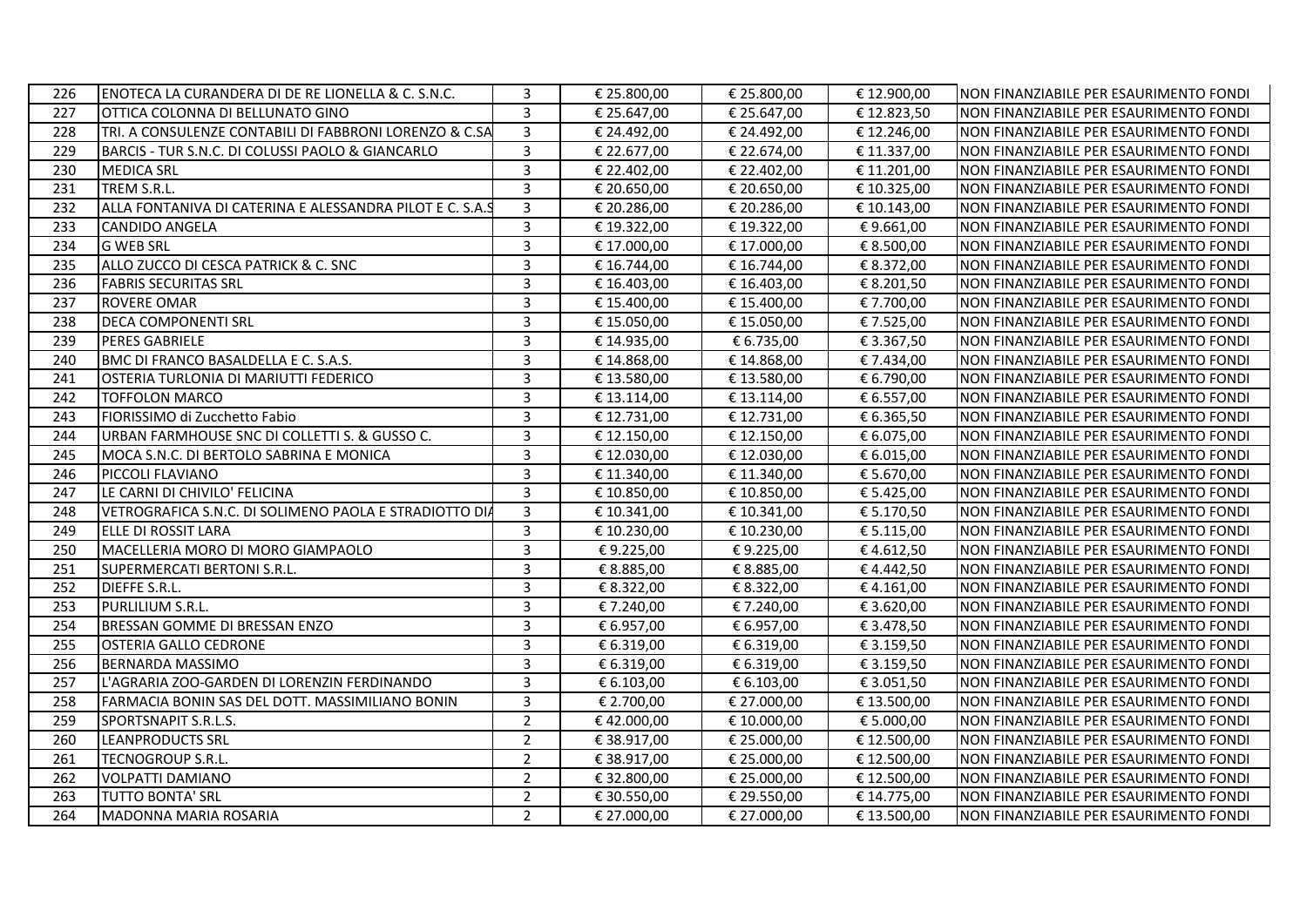| 226 | ENOTECA LA CURANDERA DI DE RE LIONELLA & C. S.N.C.       | 3                       | € 25.800,00 | € 25.800,00 | € 12.900,00 | NON FINANZIABILE PER ESAURIMENTO FONDI |
|-----|----------------------------------------------------------|-------------------------|-------------|-------------|-------------|----------------------------------------|
| 227 | OTTICA COLONNA DI BELLUNATO GINO                         | $\overline{3}$          | € 25.647,00 | € 25.647,00 | €12.823,50  | NON FINANZIABILE PER ESAURIMENTO FONDI |
| 228 | TRI. A CONSULENZE CONTABILI DI FABBRONI LORENZO & C.SA   | $\overline{3}$          | € 24.492,00 | € 24.492,00 | € 12.246,00 | NON FINANZIABILE PER ESAURIMENTO FONDI |
| 229 | BARCIS - TUR S.N.C. DI COLUSSI PAOLO & GIANCARLO         | $\overline{\mathbf{3}}$ | € 22.677,00 | € 22.674,00 | € 11.337,00 | NON FINANZIABILE PER ESAURIMENTO FONDI |
| 230 | <b>MEDICA SRL</b>                                        | 3                       | € 22.402,00 | € 22.402,00 | € 11.201,00 | NON FINANZIABILE PER ESAURIMENTO FONDI |
| 231 | TREM S.R.L.                                              | $\overline{3}$          | € 20.650,00 | € 20.650,00 | € 10.325,00 | NON FINANZIABILE PER ESAURIMENTO FONDI |
| 232 | ALLA FONTANIVA DI CATERINA E ALESSANDRA PILOT E C. S.A.9 | $\overline{3}$          | € 20.286,00 | € 20.286,00 | € 10.143,00 | NON FINANZIABILE PER ESAURIMENTO FONDI |
| 233 | <b>CANDIDO ANGELA</b>                                    | $\overline{3}$          | € 19.322,00 | € 19.322,00 | €9.661,00   | NON FINANZIABILE PER ESAURIMENTO FONDI |
| 234 | <b>G WEB SRL</b>                                         | $\overline{3}$          | € 17.000,00 | €17.000,00  | € 8.500,00  | NON FINANZIABILE PER ESAURIMENTO FONDI |
| 235 | ALLO ZUCCO DI CESCA PATRICK & C. SNC                     | $\overline{3}$          | € 16.744,00 | € 16.744,00 | € 8.372,00  | NON FINANZIABILE PER ESAURIMENTO FONDI |
| 236 | <b>FABRIS SECURITAS SRL</b>                              | $\overline{3}$          | € 16.403,00 | € 16.403,00 | € 8.201,50  | NON FINANZIABILE PER ESAURIMENTO FONDI |
| 237 | <b>ROVERE OMAR</b>                                       | $\overline{3}$          | € 15.400,00 | € 15.400,00 | € 7.700,00  | NON FINANZIABILE PER ESAURIMENTO FONDI |
| 238 | <b>DECA COMPONENTI SRL</b>                               | $\overline{3}$          | € 15.050,00 | € 15.050,00 | € 7.525,00  | NON FINANZIABILE PER ESAURIMENTO FONDI |
| 239 | <b>PERES GABRIELE</b>                                    | 3                       | € 14.935,00 | € 6.735,00  | € 3.367,50  | NON FINANZIABILE PER ESAURIMENTO FONDI |
| 240 | BMC DI FRANCO BASALDELLA E C. S.A.S.                     | $\overline{3}$          | € 14.868,00 | €14.868,00  | € 7.434,00  | NON FINANZIABILE PER ESAURIMENTO FONDI |
| 241 | OSTERIA TURLONIA DI MARIUTTI FEDERICO                    | $\overline{3}$          | € 13.580,00 | €13.580,00  | € 6.790,00  | NON FINANZIABILE PER ESAURIMENTO FONDI |
| 242 | <b>TOFFOLON MARCO</b>                                    | $\overline{3}$          | € 13.114,00 | € 13.114,00 | € 6.557,00  | NON FINANZIABILE PER ESAURIMENTO FONDI |
| 243 | FIORISSIMO di Zucchetto Fabio                            | $\overline{3}$          | € 12.731,00 | € 12.731,00 | € 6.365,50  | NON FINANZIABILE PER ESAURIMENTO FONDI |
| 244 | URBAN FARMHOUSE SNC DI COLLETTI S. & GUSSO C.            | $\overline{3}$          | € 12.150,00 | € 12.150,00 | € 6.075,00  | NON FINANZIABILE PER ESAURIMENTO FONDI |
| 245 | MOCA S.N.C. DI BERTOLO SABRINA E MONICA                  | $\overline{3}$          | € 12.030,00 | €12.030,00  | € 6.015,00  | NON FINANZIABILE PER ESAURIMENTO FONDI |
| 246 | PICCOLI FLAVIANO                                         | $\overline{3}$          | € 11.340,00 | € 11.340,00 | € 5.670,00  | NON FINANZIABILE PER ESAURIMENTO FONDI |
| 247 | LE CARNI DI CHIVILO' FELICINA                            | $\overline{3}$          | € 10.850,00 | €10.850,00  | € 5.425,00  | NON FINANZIABILE PER ESAURIMENTO FONDI |
| 248 | VETROGRAFICA S.N.C. DI SOLIMENO PAOLA E STRADIOTTO DIA   | 3                       | € 10.341,00 | € 10.341,00 | € 5.170,50  | NON FINANZIABILE PER ESAURIMENTO FONDI |
| 249 | ELLE DI ROSSIT LARA                                      | $\overline{3}$          | € 10.230,00 | € 10.230,00 | € 5.115,00  | NON FINANZIABILE PER ESAURIMENTO FONDI |
| 250 | MACELLERIA MORO DI MORO GIAMPAOLO                        | $\overline{3}$          | €9.225,00   | €9.225,00   | €4.612,50   | NON FINANZIABILE PER ESAURIMENTO FONDI |
| 251 | SUPERMERCATI BERTONI S.R.L.                              | $\overline{3}$          | € 8.885,00  | € 8.885,00  | €4.442,50   | NON FINANZIABILE PER ESAURIMENTO FONDI |
| 252 | DIEFFE S.R.L.                                            | 3                       | € 8.322,00  | € 8.322,00  | €4.161,00   | NON FINANZIABILE PER ESAURIMENTO FONDI |
| 253 | PURLILIUM S.R.L.                                         | $\overline{3}$          | €7.240,00   | € 7.240,00  | € 3.620,00  | NON FINANZIABILE PER ESAURIMENTO FONDI |
| 254 | BRESSAN GOMME DI BRESSAN ENZO                            | $\overline{3}$          | € 6.957,00  | € 6.957,00  | € 3.478,50  | NON FINANZIABILE PER ESAURIMENTO FONDI |
| 255 | <b>OSTERIA GALLO CEDRONE</b>                             | $\overline{3}$          | € 6.319,00  | € 6.319,00  | € 3.159,50  | NON FINANZIABILE PER ESAURIMENTO FONDI |
| 256 | <b>BERNARDA MASSIMO</b>                                  | $\overline{3}$          | € 6.319,00  | € 6.319,00  | € 3.159,50  | NON FINANZIABILE PER ESAURIMENTO FONDI |
| 257 | L'AGRARIA ZOO-GARDEN DI LORENZIN FERDINANDO              | $\overline{3}$          | € 6.103,00  | € 6.103,00  | € 3.051,50  | NON FINANZIABILE PER ESAURIMENTO FONDI |
| 258 | FARMACIA BONIN SAS DEL DOTT. MASSIMILIANO BONIN          | 3                       | € 2.700,00  | € 27.000,00 | € 13.500,00 | NON FINANZIABILE PER ESAURIMENTO FONDI |
| 259 | SPORTSNAPIT S.R.L.S.                                     | $\overline{2}$          | €42.000,00  | € 10.000,00 | € 5.000,00  | NON FINANZIABILE PER ESAURIMENTO FONDI |
| 260 | <b>LEANPRODUCTS SRL</b>                                  | $\overline{2}$          | € 38.917,00 | € 25.000,00 | € 12.500,00 | NON FINANZIABILE PER ESAURIMENTO FONDI |
| 261 | TECNOGROUP S.R.L.                                        | $\overline{2}$          | € 38.917,00 | € 25.000,00 | € 12.500,00 | NON FINANZIABILE PER ESAURIMENTO FONDI |
| 262 | <b>VOLPATTI DAMIANO</b>                                  | $\overline{2}$          | € 32.800,00 | € 25.000,00 | € 12.500,00 | NON FINANZIABILE PER ESAURIMENTO FONDI |
| 263 | TUTTO BONTA' SRL                                         | $\overline{2}$          | € 30.550,00 | € 29.550,00 | € 14.775,00 | NON FINANZIABILE PER ESAURIMENTO FONDI |
| 264 | <b>MADONNA MARIA ROSARIA</b>                             | $\overline{2}$          | € 27.000,00 | € 27.000,00 | € 13.500,00 | NON FINANZIABILE PER ESAURIMENTO FONDI |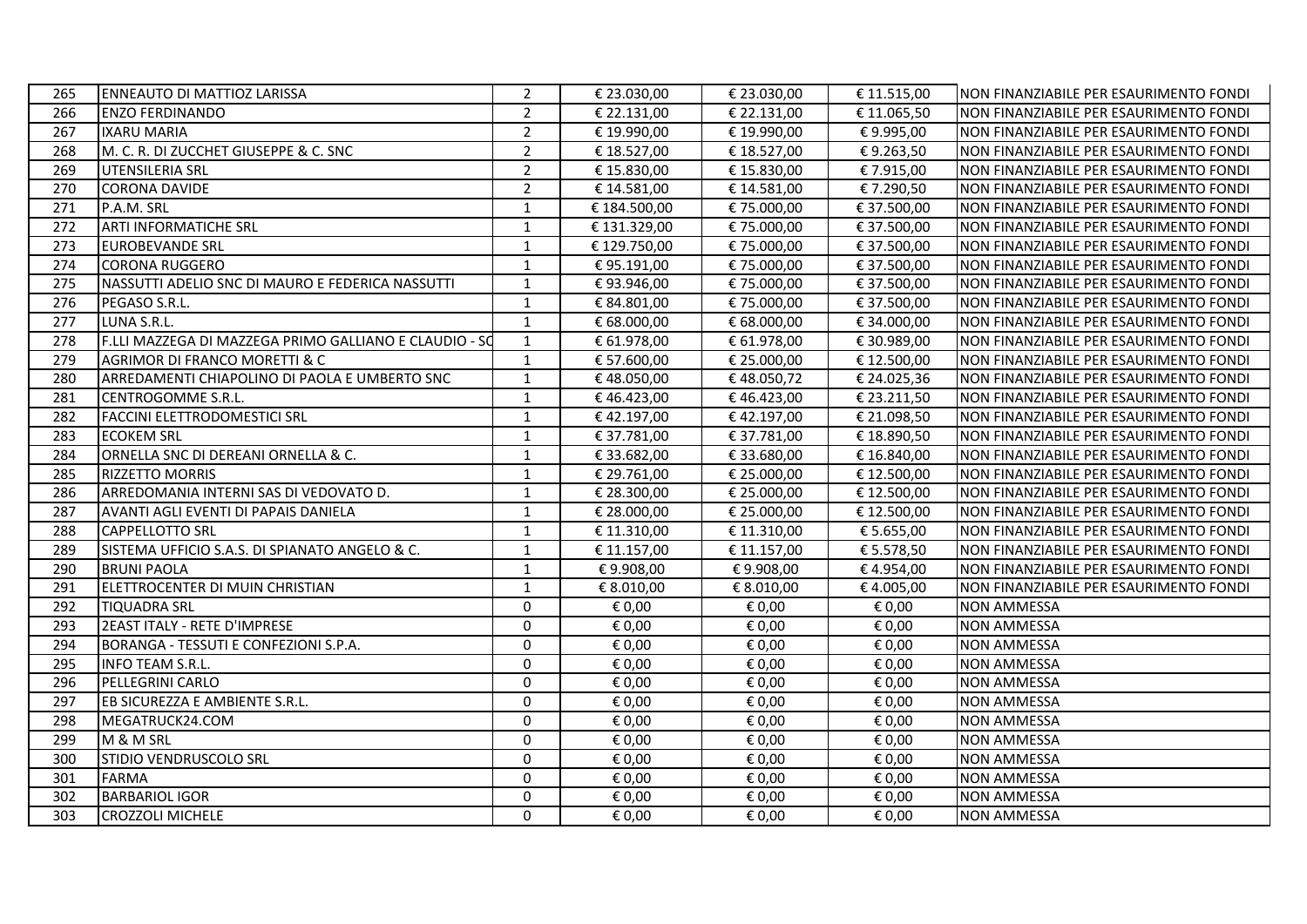| $\overline{2}$<br><b>ENZO FERDINANDO</b><br>€ 22.131,00<br>€ 22.131,00<br>€11.065,50<br>NON FINANZIABILE PER ESAURIMENTO FONDI<br>266<br>$\overline{2}$<br>267<br><b>IXARU MARIA</b><br>€ 19.990,00<br>€ 19.990,00<br>€9.995,00<br>NON FINANZIABILE PER ESAURIMENTO FONDI<br>$\overline{2}$<br>M. C. R. DI ZUCCHET GIUSEPPE & C. SNC<br>€ 18.527,00<br>268<br>€ 18.527,00<br>€9.263,50<br>NON FINANZIABILE PER ESAURIMENTO FONDI<br>$\overline{2}$<br>269<br>UTENSILERIA SRL<br>€ 15.830,00<br>€ 15.830,00<br>€ 7.915,00<br>NON FINANZIABILE PER ESAURIMENTO FONDI<br>$\overline{2}$<br>270<br><b>CORONA DAVIDE</b><br>€ 14.581,00<br>€ 14.581,00<br>€7.290,50<br>NON FINANZIABILE PER ESAURIMENTO FONDI<br>€75.000,00<br>€ 37.500,00<br>271<br>P.A.M. SRL<br>$\mathbf{1}$<br>€ 184.500,00<br>NON FINANZIABILE PER ESAURIMENTO FONDI<br>272<br><b>ARTI INFORMATICHE SRL</b><br>$\mathbf{1}$<br>€ 131.329,00<br>€75.000,00<br>€ 37.500,00<br>NON FINANZIABILE PER ESAURIMENTO FONDI<br>273<br><b>EUROBEVANDE SRL</b><br>$\mathbf{1}$<br>€ 129.750,00<br>€75.000,00<br>€ 37.500,00<br>NON FINANZIABILE PER ESAURIMENTO FONDI<br>274<br><b>CORONA RUGGERO</b><br>1<br>€95.191,00<br>€ 75.000,00<br>€ 37.500,00<br>NON FINANZIABILE PER ESAURIMENTO FONDI<br>275<br>NASSUTTI ADELIO SNC DI MAURO E FEDERICA NASSUTTI<br>$\mathbf{1}$<br>€93.946,00<br>€75.000,00<br>€ 37.500,00<br>NON FINANZIABILE PER ESAURIMENTO FONDI<br>276<br>€75.000,00<br>PEGASO S.R.L.<br>$\mathbf{1}$<br>€ 84.801,00<br>€ 37.500,00<br>NON FINANZIABILE PER ESAURIMENTO FONDI<br>LUNA S.R.L.<br>1<br>€ 68.000,00<br>€ 68.000,00<br>277<br>€ 34.000,00<br>NON FINANZIABILE PER ESAURIMENTO FONDI<br>278<br>F.LLI MAZZEGA DI MAZZEGA PRIMO GALLIANO E CLAUDIO - SO<br>$\mathbf{1}$<br>€ 61.978,00<br>€ 61.978,00<br>€ 30.989,00<br>NON FINANZIABILE PER ESAURIMENTO FONDI<br>279<br><b>AGRIMOR DI FRANCO MORETTI &amp; C</b><br>$\mathbf{1}$<br>€ 57.600,00<br>€ 25.000,00<br>€ 12.500,00<br>NON FINANZIABILE PER ESAURIMENTO FONDI<br>$\mathbf{1}$<br>280<br>ARREDAMENTI CHIAPOLINO DI PAOLA E UMBERTO SNC<br>€48.050,00<br>€48.050,72<br>€ 24.025,36<br>NON FINANZIABILE PER ESAURIMENTO FONDI<br>281<br>CENTROGOMME S.R.L.<br>$\mathbf{1}$<br>€46.423,00<br>€46.423,00<br>€ 23.211,50<br>NON FINANZIABILE PER ESAURIMENTO FONDI<br><b>FACCINI ELETTRODOMESTICI SRL</b><br>€42.197,00<br>€42.197,00<br>€ 21.098,50<br>282<br>$\mathbf{1}$<br>NON FINANZIABILE PER ESAURIMENTO FONDI<br>283<br><b>ECOKEM SRL</b><br>$\mathbf{1}$<br>€ 37.781,00<br>€ 37.781,00<br>€18.890,50<br>NON FINANZIABILE PER ESAURIMENTO FONDI<br>284<br>ORNELLA SNC DI DEREANI ORNELLA & C.<br>1<br>€ 33.682,00<br>€ 33.680,00<br>€ 16.840,00<br>NON FINANZIABILE PER ESAURIMENTO FONDI<br>285<br><b>RIZZETTO MORRIS</b><br>1<br>€ 29.761,00<br>€ 25.000,00<br>€ 12.500,00<br>NON FINANZIABILE PER ESAURIMENTO FONDI<br>ARREDOMANIA INTERNI SAS DI VEDOVATO D.<br>$\mathbf{1}$<br>286<br>€ 28.300,00<br>€ 25.000,00<br>€ 12.500,00<br>NON FINANZIABILE PER ESAURIMENTO FONDI<br>€ 28.000,00<br>€ 25.000,00<br>287<br>AVANTI AGLI EVENTI DI PAPAIS DANIELA<br>$\mathbf{1}$<br>€12.500,00<br>NON FINANZIABILE PER ESAURIMENTO FONDI<br>288<br><b>CAPPELLOTTO SRL</b><br>€ 11.310,00<br>€ 11.310,00<br>€ 5.655,00<br>NON FINANZIABILE PER ESAURIMENTO FONDI<br>1<br>SISTEMA UFFICIO S.A.S. DI SPIANATO ANGELO & C.<br>$\mathbf{1}$<br>€ 11.157,00<br>€ 11.157,00<br>289<br>€ 5.578,50<br>NON FINANZIABILE PER ESAURIMENTO FONDI<br><b>BRUNI PAOLA</b><br>€9.908,00<br>€9.908,00<br>NON FINANZIABILE PER ESAURIMENTO FONDI<br>290<br>$\mathbf{1}$<br>€4.954,00<br>291<br>ELETTROCENTER DI MUIN CHRISTIAN<br>$1\,$<br>€ 8.010,00<br>€ 8.010,00<br>€4.005,00<br>NON FINANZIABILE PER ESAURIMENTO FONDI<br><b>TIQUADRA SRL</b><br>$\mathbf 0$<br><b>NON AMMESSA</b><br>292<br>€ 0,00<br>€ 0,00<br>€ 0,00<br>293<br>2EAST ITALY - RETE D'IMPRESE<br>$\mathbf 0$<br>€ 0,00<br>€ 0,00<br>€ 0,00<br><b>NON AMMESSA</b><br>$\mathbf 0$<br>€ 0,00<br>€ 0,00<br>€ 0,00<br>294<br>BORANGA - TESSUTI E CONFEZIONI S.P.A.<br><b>NON AMMESSA</b><br>295<br>$\mathbf 0$<br>€ 0,00<br>€ 0,00<br><b>INFO TEAM S.R.L.</b><br>€ 0,00<br><b>NON AMMESSA</b><br>296<br>$\Omega$<br>€ 0,00<br>PELLEGRINI CARLO<br>€ 0,00<br>€ 0,00<br><b>NON AMMESSA</b><br>297<br>$\Omega$<br>€ 0,00<br>€ 0,00<br>€ 0,00<br>EB SICUREZZA E AMBIENTE S.R.L.<br><b>NON AMMESSA</b><br>298<br>MEGATRUCK24.COM<br>$\Omega$<br>€ 0,00<br>€ 0,00<br><b>NON AMMESSA</b><br>€ 0,00<br>299<br>M & M SRL<br>$\Omega$<br>€ 0,00<br>€ 0,00<br>€ 0,00<br><b>NON AMMESSA</b><br>$\Omega$<br>STIDIO VENDRUSCOLO SRL<br>€ 0,00<br>€ 0,00<br>€ 0,00<br><b>NON AMMESSA</b><br>300<br>301<br><b>FARMA</b><br>$\Omega$<br>€ 0,00<br>€ 0,00<br>€ 0,00<br><b>NON AMMESSA</b><br>$\Omega$<br>302<br><b>BARBARIOL IGOR</b><br>€ 0,00<br>€ 0,00<br>€ 0,00<br><b>NON AMMESSA</b><br><b>CROZZOLI MICHELE</b><br>$\Omega$<br>303<br>€ 0,00<br>€ 0,00<br>€ 0,00<br><b>NON AMMESSA</b> | 265 | <b>ENNEAUTO DI MATTIOZ LARISSA</b> | $\overline{2}$ | € 23.030,00 | € 23.030,00 | € 11.515,00 | NON FINANZIABILE PER ESAURIMENTO FONDI |
|---------------------------------------------------------------------------------------------------------------------------------------------------------------------------------------------------------------------------------------------------------------------------------------------------------------------------------------------------------------------------------------------------------------------------------------------------------------------------------------------------------------------------------------------------------------------------------------------------------------------------------------------------------------------------------------------------------------------------------------------------------------------------------------------------------------------------------------------------------------------------------------------------------------------------------------------------------------------------------------------------------------------------------------------------------------------------------------------------------------------------------------------------------------------------------------------------------------------------------------------------------------------------------------------------------------------------------------------------------------------------------------------------------------------------------------------------------------------------------------------------------------------------------------------------------------------------------------------------------------------------------------------------------------------------------------------------------------------------------------------------------------------------------------------------------------------------------------------------------------------------------------------------------------------------------------------------------------------------------------------------------------------------------------------------------------------------------------------------------------------------------------------------------------------------------------------------------------------------------------------------------------------------------------------------------------------------------------------------------------------------------------------------------------------------------------------------------------------------------------------------------------------------------------------------------------------------------------------------------------------------------------------------------------------------------------------------------------------------------------------------------------------------------------------------------------------------------------------------------------------------------------------------------------------------------------------------------------------------------------------------------------------------------------------------------------------------------------------------------------------------------------------------------------------------------------------------------------------------------------------------------------------------------------------------------------------------------------------------------------------------------------------------------------------------------------------------------------------------------------------------------------------------------------------------------------------------------------------------------------------------------------------------------------------------------------------------------------------------------------------------------------------------------------------------------------------------------------------------------------------------------------------------------------------------------------------------------------------------------------------------------------------------------------------------------------------------------------------------------------------------------------------------------------------------------------------------------------------------------------------------------------------------------------------------------------------------------------------------------------------------------------------------------------------------------------------------------------------------------------------------------------------------------------------------------------------------------------------------------------------------------------------------------------------------------------------------------------------------------------------------------------------------------------------------------------------------------------------------------------------------------------------------------------------------------------------------------------|-----|------------------------------------|----------------|-------------|-------------|-------------|----------------------------------------|
|                                                                                                                                                                                                                                                                                                                                                                                                                                                                                                                                                                                                                                                                                                                                                                                                                                                                                                                                                                                                                                                                                                                                                                                                                                                                                                                                                                                                                                                                                                                                                                                                                                                                                                                                                                                                                                                                                                                                                                                                                                                                                                                                                                                                                                                                                                                                                                                                                                                                                                                                                                                                                                                                                                                                                                                                                                                                                                                                                                                                                                                                                                                                                                                                                                                                                                                                                                                                                                                                                                                                                                                                                                                                                                                                                                                                                                                                                                                                                                                                                                                                                                                                                                                                                                                                                                                                                                                                                                                                                                                                                                                                                                                                                                                                                                                                                                                                                                                                                               |     |                                    |                |             |             |             |                                        |
|                                                                                                                                                                                                                                                                                                                                                                                                                                                                                                                                                                                                                                                                                                                                                                                                                                                                                                                                                                                                                                                                                                                                                                                                                                                                                                                                                                                                                                                                                                                                                                                                                                                                                                                                                                                                                                                                                                                                                                                                                                                                                                                                                                                                                                                                                                                                                                                                                                                                                                                                                                                                                                                                                                                                                                                                                                                                                                                                                                                                                                                                                                                                                                                                                                                                                                                                                                                                                                                                                                                                                                                                                                                                                                                                                                                                                                                                                                                                                                                                                                                                                                                                                                                                                                                                                                                                                                                                                                                                                                                                                                                                                                                                                                                                                                                                                                                                                                                                                               |     |                                    |                |             |             |             |                                        |
|                                                                                                                                                                                                                                                                                                                                                                                                                                                                                                                                                                                                                                                                                                                                                                                                                                                                                                                                                                                                                                                                                                                                                                                                                                                                                                                                                                                                                                                                                                                                                                                                                                                                                                                                                                                                                                                                                                                                                                                                                                                                                                                                                                                                                                                                                                                                                                                                                                                                                                                                                                                                                                                                                                                                                                                                                                                                                                                                                                                                                                                                                                                                                                                                                                                                                                                                                                                                                                                                                                                                                                                                                                                                                                                                                                                                                                                                                                                                                                                                                                                                                                                                                                                                                                                                                                                                                                                                                                                                                                                                                                                                                                                                                                                                                                                                                                                                                                                                                               |     |                                    |                |             |             |             |                                        |
|                                                                                                                                                                                                                                                                                                                                                                                                                                                                                                                                                                                                                                                                                                                                                                                                                                                                                                                                                                                                                                                                                                                                                                                                                                                                                                                                                                                                                                                                                                                                                                                                                                                                                                                                                                                                                                                                                                                                                                                                                                                                                                                                                                                                                                                                                                                                                                                                                                                                                                                                                                                                                                                                                                                                                                                                                                                                                                                                                                                                                                                                                                                                                                                                                                                                                                                                                                                                                                                                                                                                                                                                                                                                                                                                                                                                                                                                                                                                                                                                                                                                                                                                                                                                                                                                                                                                                                                                                                                                                                                                                                                                                                                                                                                                                                                                                                                                                                                                                               |     |                                    |                |             |             |             |                                        |
|                                                                                                                                                                                                                                                                                                                                                                                                                                                                                                                                                                                                                                                                                                                                                                                                                                                                                                                                                                                                                                                                                                                                                                                                                                                                                                                                                                                                                                                                                                                                                                                                                                                                                                                                                                                                                                                                                                                                                                                                                                                                                                                                                                                                                                                                                                                                                                                                                                                                                                                                                                                                                                                                                                                                                                                                                                                                                                                                                                                                                                                                                                                                                                                                                                                                                                                                                                                                                                                                                                                                                                                                                                                                                                                                                                                                                                                                                                                                                                                                                                                                                                                                                                                                                                                                                                                                                                                                                                                                                                                                                                                                                                                                                                                                                                                                                                                                                                                                                               |     |                                    |                |             |             |             |                                        |
|                                                                                                                                                                                                                                                                                                                                                                                                                                                                                                                                                                                                                                                                                                                                                                                                                                                                                                                                                                                                                                                                                                                                                                                                                                                                                                                                                                                                                                                                                                                                                                                                                                                                                                                                                                                                                                                                                                                                                                                                                                                                                                                                                                                                                                                                                                                                                                                                                                                                                                                                                                                                                                                                                                                                                                                                                                                                                                                                                                                                                                                                                                                                                                                                                                                                                                                                                                                                                                                                                                                                                                                                                                                                                                                                                                                                                                                                                                                                                                                                                                                                                                                                                                                                                                                                                                                                                                                                                                                                                                                                                                                                                                                                                                                                                                                                                                                                                                                                                               |     |                                    |                |             |             |             |                                        |
|                                                                                                                                                                                                                                                                                                                                                                                                                                                                                                                                                                                                                                                                                                                                                                                                                                                                                                                                                                                                                                                                                                                                                                                                                                                                                                                                                                                                                                                                                                                                                                                                                                                                                                                                                                                                                                                                                                                                                                                                                                                                                                                                                                                                                                                                                                                                                                                                                                                                                                                                                                                                                                                                                                                                                                                                                                                                                                                                                                                                                                                                                                                                                                                                                                                                                                                                                                                                                                                                                                                                                                                                                                                                                                                                                                                                                                                                                                                                                                                                                                                                                                                                                                                                                                                                                                                                                                                                                                                                                                                                                                                                                                                                                                                                                                                                                                                                                                                                                               |     |                                    |                |             |             |             |                                        |
|                                                                                                                                                                                                                                                                                                                                                                                                                                                                                                                                                                                                                                                                                                                                                                                                                                                                                                                                                                                                                                                                                                                                                                                                                                                                                                                                                                                                                                                                                                                                                                                                                                                                                                                                                                                                                                                                                                                                                                                                                                                                                                                                                                                                                                                                                                                                                                                                                                                                                                                                                                                                                                                                                                                                                                                                                                                                                                                                                                                                                                                                                                                                                                                                                                                                                                                                                                                                                                                                                                                                                                                                                                                                                                                                                                                                                                                                                                                                                                                                                                                                                                                                                                                                                                                                                                                                                                                                                                                                                                                                                                                                                                                                                                                                                                                                                                                                                                                                                               |     |                                    |                |             |             |             |                                        |
|                                                                                                                                                                                                                                                                                                                                                                                                                                                                                                                                                                                                                                                                                                                                                                                                                                                                                                                                                                                                                                                                                                                                                                                                                                                                                                                                                                                                                                                                                                                                                                                                                                                                                                                                                                                                                                                                                                                                                                                                                                                                                                                                                                                                                                                                                                                                                                                                                                                                                                                                                                                                                                                                                                                                                                                                                                                                                                                                                                                                                                                                                                                                                                                                                                                                                                                                                                                                                                                                                                                                                                                                                                                                                                                                                                                                                                                                                                                                                                                                                                                                                                                                                                                                                                                                                                                                                                                                                                                                                                                                                                                                                                                                                                                                                                                                                                                                                                                                                               |     |                                    |                |             |             |             |                                        |
|                                                                                                                                                                                                                                                                                                                                                                                                                                                                                                                                                                                                                                                                                                                                                                                                                                                                                                                                                                                                                                                                                                                                                                                                                                                                                                                                                                                                                                                                                                                                                                                                                                                                                                                                                                                                                                                                                                                                                                                                                                                                                                                                                                                                                                                                                                                                                                                                                                                                                                                                                                                                                                                                                                                                                                                                                                                                                                                                                                                                                                                                                                                                                                                                                                                                                                                                                                                                                                                                                                                                                                                                                                                                                                                                                                                                                                                                                                                                                                                                                                                                                                                                                                                                                                                                                                                                                                                                                                                                                                                                                                                                                                                                                                                                                                                                                                                                                                                                                               |     |                                    |                |             |             |             |                                        |
|                                                                                                                                                                                                                                                                                                                                                                                                                                                                                                                                                                                                                                                                                                                                                                                                                                                                                                                                                                                                                                                                                                                                                                                                                                                                                                                                                                                                                                                                                                                                                                                                                                                                                                                                                                                                                                                                                                                                                                                                                                                                                                                                                                                                                                                                                                                                                                                                                                                                                                                                                                                                                                                                                                                                                                                                                                                                                                                                                                                                                                                                                                                                                                                                                                                                                                                                                                                                                                                                                                                                                                                                                                                                                                                                                                                                                                                                                                                                                                                                                                                                                                                                                                                                                                                                                                                                                                                                                                                                                                                                                                                                                                                                                                                                                                                                                                                                                                                                                               |     |                                    |                |             |             |             |                                        |
|                                                                                                                                                                                                                                                                                                                                                                                                                                                                                                                                                                                                                                                                                                                                                                                                                                                                                                                                                                                                                                                                                                                                                                                                                                                                                                                                                                                                                                                                                                                                                                                                                                                                                                                                                                                                                                                                                                                                                                                                                                                                                                                                                                                                                                                                                                                                                                                                                                                                                                                                                                                                                                                                                                                                                                                                                                                                                                                                                                                                                                                                                                                                                                                                                                                                                                                                                                                                                                                                                                                                                                                                                                                                                                                                                                                                                                                                                                                                                                                                                                                                                                                                                                                                                                                                                                                                                                                                                                                                                                                                                                                                                                                                                                                                                                                                                                                                                                                                                               |     |                                    |                |             |             |             |                                        |
|                                                                                                                                                                                                                                                                                                                                                                                                                                                                                                                                                                                                                                                                                                                                                                                                                                                                                                                                                                                                                                                                                                                                                                                                                                                                                                                                                                                                                                                                                                                                                                                                                                                                                                                                                                                                                                                                                                                                                                                                                                                                                                                                                                                                                                                                                                                                                                                                                                                                                                                                                                                                                                                                                                                                                                                                                                                                                                                                                                                                                                                                                                                                                                                                                                                                                                                                                                                                                                                                                                                                                                                                                                                                                                                                                                                                                                                                                                                                                                                                                                                                                                                                                                                                                                                                                                                                                                                                                                                                                                                                                                                                                                                                                                                                                                                                                                                                                                                                                               |     |                                    |                |             |             |             |                                        |
|                                                                                                                                                                                                                                                                                                                                                                                                                                                                                                                                                                                                                                                                                                                                                                                                                                                                                                                                                                                                                                                                                                                                                                                                                                                                                                                                                                                                                                                                                                                                                                                                                                                                                                                                                                                                                                                                                                                                                                                                                                                                                                                                                                                                                                                                                                                                                                                                                                                                                                                                                                                                                                                                                                                                                                                                                                                                                                                                                                                                                                                                                                                                                                                                                                                                                                                                                                                                                                                                                                                                                                                                                                                                                                                                                                                                                                                                                                                                                                                                                                                                                                                                                                                                                                                                                                                                                                                                                                                                                                                                                                                                                                                                                                                                                                                                                                                                                                                                                               |     |                                    |                |             |             |             |                                        |
|                                                                                                                                                                                                                                                                                                                                                                                                                                                                                                                                                                                                                                                                                                                                                                                                                                                                                                                                                                                                                                                                                                                                                                                                                                                                                                                                                                                                                                                                                                                                                                                                                                                                                                                                                                                                                                                                                                                                                                                                                                                                                                                                                                                                                                                                                                                                                                                                                                                                                                                                                                                                                                                                                                                                                                                                                                                                                                                                                                                                                                                                                                                                                                                                                                                                                                                                                                                                                                                                                                                                                                                                                                                                                                                                                                                                                                                                                                                                                                                                                                                                                                                                                                                                                                                                                                                                                                                                                                                                                                                                                                                                                                                                                                                                                                                                                                                                                                                                                               |     |                                    |                |             |             |             |                                        |
|                                                                                                                                                                                                                                                                                                                                                                                                                                                                                                                                                                                                                                                                                                                                                                                                                                                                                                                                                                                                                                                                                                                                                                                                                                                                                                                                                                                                                                                                                                                                                                                                                                                                                                                                                                                                                                                                                                                                                                                                                                                                                                                                                                                                                                                                                                                                                                                                                                                                                                                                                                                                                                                                                                                                                                                                                                                                                                                                                                                                                                                                                                                                                                                                                                                                                                                                                                                                                                                                                                                                                                                                                                                                                                                                                                                                                                                                                                                                                                                                                                                                                                                                                                                                                                                                                                                                                                                                                                                                                                                                                                                                                                                                                                                                                                                                                                                                                                                                                               |     |                                    |                |             |             |             |                                        |
|                                                                                                                                                                                                                                                                                                                                                                                                                                                                                                                                                                                                                                                                                                                                                                                                                                                                                                                                                                                                                                                                                                                                                                                                                                                                                                                                                                                                                                                                                                                                                                                                                                                                                                                                                                                                                                                                                                                                                                                                                                                                                                                                                                                                                                                                                                                                                                                                                                                                                                                                                                                                                                                                                                                                                                                                                                                                                                                                                                                                                                                                                                                                                                                                                                                                                                                                                                                                                                                                                                                                                                                                                                                                                                                                                                                                                                                                                                                                                                                                                                                                                                                                                                                                                                                                                                                                                                                                                                                                                                                                                                                                                                                                                                                                                                                                                                                                                                                                                               |     |                                    |                |             |             |             |                                        |
|                                                                                                                                                                                                                                                                                                                                                                                                                                                                                                                                                                                                                                                                                                                                                                                                                                                                                                                                                                                                                                                                                                                                                                                                                                                                                                                                                                                                                                                                                                                                                                                                                                                                                                                                                                                                                                                                                                                                                                                                                                                                                                                                                                                                                                                                                                                                                                                                                                                                                                                                                                                                                                                                                                                                                                                                                                                                                                                                                                                                                                                                                                                                                                                                                                                                                                                                                                                                                                                                                                                                                                                                                                                                                                                                                                                                                                                                                                                                                                                                                                                                                                                                                                                                                                                                                                                                                                                                                                                                                                                                                                                                                                                                                                                                                                                                                                                                                                                                                               |     |                                    |                |             |             |             |                                        |
|                                                                                                                                                                                                                                                                                                                                                                                                                                                                                                                                                                                                                                                                                                                                                                                                                                                                                                                                                                                                                                                                                                                                                                                                                                                                                                                                                                                                                                                                                                                                                                                                                                                                                                                                                                                                                                                                                                                                                                                                                                                                                                                                                                                                                                                                                                                                                                                                                                                                                                                                                                                                                                                                                                                                                                                                                                                                                                                                                                                                                                                                                                                                                                                                                                                                                                                                                                                                                                                                                                                                                                                                                                                                                                                                                                                                                                                                                                                                                                                                                                                                                                                                                                                                                                                                                                                                                                                                                                                                                                                                                                                                                                                                                                                                                                                                                                                                                                                                                               |     |                                    |                |             |             |             |                                        |
|                                                                                                                                                                                                                                                                                                                                                                                                                                                                                                                                                                                                                                                                                                                                                                                                                                                                                                                                                                                                                                                                                                                                                                                                                                                                                                                                                                                                                                                                                                                                                                                                                                                                                                                                                                                                                                                                                                                                                                                                                                                                                                                                                                                                                                                                                                                                                                                                                                                                                                                                                                                                                                                                                                                                                                                                                                                                                                                                                                                                                                                                                                                                                                                                                                                                                                                                                                                                                                                                                                                                                                                                                                                                                                                                                                                                                                                                                                                                                                                                                                                                                                                                                                                                                                                                                                                                                                                                                                                                                                                                                                                                                                                                                                                                                                                                                                                                                                                                                               |     |                                    |                |             |             |             |                                        |
|                                                                                                                                                                                                                                                                                                                                                                                                                                                                                                                                                                                                                                                                                                                                                                                                                                                                                                                                                                                                                                                                                                                                                                                                                                                                                                                                                                                                                                                                                                                                                                                                                                                                                                                                                                                                                                                                                                                                                                                                                                                                                                                                                                                                                                                                                                                                                                                                                                                                                                                                                                                                                                                                                                                                                                                                                                                                                                                                                                                                                                                                                                                                                                                                                                                                                                                                                                                                                                                                                                                                                                                                                                                                                                                                                                                                                                                                                                                                                                                                                                                                                                                                                                                                                                                                                                                                                                                                                                                                                                                                                                                                                                                                                                                                                                                                                                                                                                                                                               |     |                                    |                |             |             |             |                                        |
|                                                                                                                                                                                                                                                                                                                                                                                                                                                                                                                                                                                                                                                                                                                                                                                                                                                                                                                                                                                                                                                                                                                                                                                                                                                                                                                                                                                                                                                                                                                                                                                                                                                                                                                                                                                                                                                                                                                                                                                                                                                                                                                                                                                                                                                                                                                                                                                                                                                                                                                                                                                                                                                                                                                                                                                                                                                                                                                                                                                                                                                                                                                                                                                                                                                                                                                                                                                                                                                                                                                                                                                                                                                                                                                                                                                                                                                                                                                                                                                                                                                                                                                                                                                                                                                                                                                                                                                                                                                                                                                                                                                                                                                                                                                                                                                                                                                                                                                                                               |     |                                    |                |             |             |             |                                        |
|                                                                                                                                                                                                                                                                                                                                                                                                                                                                                                                                                                                                                                                                                                                                                                                                                                                                                                                                                                                                                                                                                                                                                                                                                                                                                                                                                                                                                                                                                                                                                                                                                                                                                                                                                                                                                                                                                                                                                                                                                                                                                                                                                                                                                                                                                                                                                                                                                                                                                                                                                                                                                                                                                                                                                                                                                                                                                                                                                                                                                                                                                                                                                                                                                                                                                                                                                                                                                                                                                                                                                                                                                                                                                                                                                                                                                                                                                                                                                                                                                                                                                                                                                                                                                                                                                                                                                                                                                                                                                                                                                                                                                                                                                                                                                                                                                                                                                                                                                               |     |                                    |                |             |             |             |                                        |
|                                                                                                                                                                                                                                                                                                                                                                                                                                                                                                                                                                                                                                                                                                                                                                                                                                                                                                                                                                                                                                                                                                                                                                                                                                                                                                                                                                                                                                                                                                                                                                                                                                                                                                                                                                                                                                                                                                                                                                                                                                                                                                                                                                                                                                                                                                                                                                                                                                                                                                                                                                                                                                                                                                                                                                                                                                                                                                                                                                                                                                                                                                                                                                                                                                                                                                                                                                                                                                                                                                                                                                                                                                                                                                                                                                                                                                                                                                                                                                                                                                                                                                                                                                                                                                                                                                                                                                                                                                                                                                                                                                                                                                                                                                                                                                                                                                                                                                                                                               |     |                                    |                |             |             |             |                                        |
|                                                                                                                                                                                                                                                                                                                                                                                                                                                                                                                                                                                                                                                                                                                                                                                                                                                                                                                                                                                                                                                                                                                                                                                                                                                                                                                                                                                                                                                                                                                                                                                                                                                                                                                                                                                                                                                                                                                                                                                                                                                                                                                                                                                                                                                                                                                                                                                                                                                                                                                                                                                                                                                                                                                                                                                                                                                                                                                                                                                                                                                                                                                                                                                                                                                                                                                                                                                                                                                                                                                                                                                                                                                                                                                                                                                                                                                                                                                                                                                                                                                                                                                                                                                                                                                                                                                                                                                                                                                                                                                                                                                                                                                                                                                                                                                                                                                                                                                                                               |     |                                    |                |             |             |             |                                        |
|                                                                                                                                                                                                                                                                                                                                                                                                                                                                                                                                                                                                                                                                                                                                                                                                                                                                                                                                                                                                                                                                                                                                                                                                                                                                                                                                                                                                                                                                                                                                                                                                                                                                                                                                                                                                                                                                                                                                                                                                                                                                                                                                                                                                                                                                                                                                                                                                                                                                                                                                                                                                                                                                                                                                                                                                                                                                                                                                                                                                                                                                                                                                                                                                                                                                                                                                                                                                                                                                                                                                                                                                                                                                                                                                                                                                                                                                                                                                                                                                                                                                                                                                                                                                                                                                                                                                                                                                                                                                                                                                                                                                                                                                                                                                                                                                                                                                                                                                                               |     |                                    |                |             |             |             |                                        |
|                                                                                                                                                                                                                                                                                                                                                                                                                                                                                                                                                                                                                                                                                                                                                                                                                                                                                                                                                                                                                                                                                                                                                                                                                                                                                                                                                                                                                                                                                                                                                                                                                                                                                                                                                                                                                                                                                                                                                                                                                                                                                                                                                                                                                                                                                                                                                                                                                                                                                                                                                                                                                                                                                                                                                                                                                                                                                                                                                                                                                                                                                                                                                                                                                                                                                                                                                                                                                                                                                                                                                                                                                                                                                                                                                                                                                                                                                                                                                                                                                                                                                                                                                                                                                                                                                                                                                                                                                                                                                                                                                                                                                                                                                                                                                                                                                                                                                                                                                               |     |                                    |                |             |             |             |                                        |
|                                                                                                                                                                                                                                                                                                                                                                                                                                                                                                                                                                                                                                                                                                                                                                                                                                                                                                                                                                                                                                                                                                                                                                                                                                                                                                                                                                                                                                                                                                                                                                                                                                                                                                                                                                                                                                                                                                                                                                                                                                                                                                                                                                                                                                                                                                                                                                                                                                                                                                                                                                                                                                                                                                                                                                                                                                                                                                                                                                                                                                                                                                                                                                                                                                                                                                                                                                                                                                                                                                                                                                                                                                                                                                                                                                                                                                                                                                                                                                                                                                                                                                                                                                                                                                                                                                                                                                                                                                                                                                                                                                                                                                                                                                                                                                                                                                                                                                                                                               |     |                                    |                |             |             |             |                                        |
|                                                                                                                                                                                                                                                                                                                                                                                                                                                                                                                                                                                                                                                                                                                                                                                                                                                                                                                                                                                                                                                                                                                                                                                                                                                                                                                                                                                                                                                                                                                                                                                                                                                                                                                                                                                                                                                                                                                                                                                                                                                                                                                                                                                                                                                                                                                                                                                                                                                                                                                                                                                                                                                                                                                                                                                                                                                                                                                                                                                                                                                                                                                                                                                                                                                                                                                                                                                                                                                                                                                                                                                                                                                                                                                                                                                                                                                                                                                                                                                                                                                                                                                                                                                                                                                                                                                                                                                                                                                                                                                                                                                                                                                                                                                                                                                                                                                                                                                                                               |     |                                    |                |             |             |             |                                        |
|                                                                                                                                                                                                                                                                                                                                                                                                                                                                                                                                                                                                                                                                                                                                                                                                                                                                                                                                                                                                                                                                                                                                                                                                                                                                                                                                                                                                                                                                                                                                                                                                                                                                                                                                                                                                                                                                                                                                                                                                                                                                                                                                                                                                                                                                                                                                                                                                                                                                                                                                                                                                                                                                                                                                                                                                                                                                                                                                                                                                                                                                                                                                                                                                                                                                                                                                                                                                                                                                                                                                                                                                                                                                                                                                                                                                                                                                                                                                                                                                                                                                                                                                                                                                                                                                                                                                                                                                                                                                                                                                                                                                                                                                                                                                                                                                                                                                                                                                                               |     |                                    |                |             |             |             |                                        |
|                                                                                                                                                                                                                                                                                                                                                                                                                                                                                                                                                                                                                                                                                                                                                                                                                                                                                                                                                                                                                                                                                                                                                                                                                                                                                                                                                                                                                                                                                                                                                                                                                                                                                                                                                                                                                                                                                                                                                                                                                                                                                                                                                                                                                                                                                                                                                                                                                                                                                                                                                                                                                                                                                                                                                                                                                                                                                                                                                                                                                                                                                                                                                                                                                                                                                                                                                                                                                                                                                                                                                                                                                                                                                                                                                                                                                                                                                                                                                                                                                                                                                                                                                                                                                                                                                                                                                                                                                                                                                                                                                                                                                                                                                                                                                                                                                                                                                                                                                               |     |                                    |                |             |             |             |                                        |
|                                                                                                                                                                                                                                                                                                                                                                                                                                                                                                                                                                                                                                                                                                                                                                                                                                                                                                                                                                                                                                                                                                                                                                                                                                                                                                                                                                                                                                                                                                                                                                                                                                                                                                                                                                                                                                                                                                                                                                                                                                                                                                                                                                                                                                                                                                                                                                                                                                                                                                                                                                                                                                                                                                                                                                                                                                                                                                                                                                                                                                                                                                                                                                                                                                                                                                                                                                                                                                                                                                                                                                                                                                                                                                                                                                                                                                                                                                                                                                                                                                                                                                                                                                                                                                                                                                                                                                                                                                                                                                                                                                                                                                                                                                                                                                                                                                                                                                                                                               |     |                                    |                |             |             |             |                                        |
|                                                                                                                                                                                                                                                                                                                                                                                                                                                                                                                                                                                                                                                                                                                                                                                                                                                                                                                                                                                                                                                                                                                                                                                                                                                                                                                                                                                                                                                                                                                                                                                                                                                                                                                                                                                                                                                                                                                                                                                                                                                                                                                                                                                                                                                                                                                                                                                                                                                                                                                                                                                                                                                                                                                                                                                                                                                                                                                                                                                                                                                                                                                                                                                                                                                                                                                                                                                                                                                                                                                                                                                                                                                                                                                                                                                                                                                                                                                                                                                                                                                                                                                                                                                                                                                                                                                                                                                                                                                                                                                                                                                                                                                                                                                                                                                                                                                                                                                                                               |     |                                    |                |             |             |             |                                        |
|                                                                                                                                                                                                                                                                                                                                                                                                                                                                                                                                                                                                                                                                                                                                                                                                                                                                                                                                                                                                                                                                                                                                                                                                                                                                                                                                                                                                                                                                                                                                                                                                                                                                                                                                                                                                                                                                                                                                                                                                                                                                                                                                                                                                                                                                                                                                                                                                                                                                                                                                                                                                                                                                                                                                                                                                                                                                                                                                                                                                                                                                                                                                                                                                                                                                                                                                                                                                                                                                                                                                                                                                                                                                                                                                                                                                                                                                                                                                                                                                                                                                                                                                                                                                                                                                                                                                                                                                                                                                                                                                                                                                                                                                                                                                                                                                                                                                                                                                                               |     |                                    |                |             |             |             |                                        |
|                                                                                                                                                                                                                                                                                                                                                                                                                                                                                                                                                                                                                                                                                                                                                                                                                                                                                                                                                                                                                                                                                                                                                                                                                                                                                                                                                                                                                                                                                                                                                                                                                                                                                                                                                                                                                                                                                                                                                                                                                                                                                                                                                                                                                                                                                                                                                                                                                                                                                                                                                                                                                                                                                                                                                                                                                                                                                                                                                                                                                                                                                                                                                                                                                                                                                                                                                                                                                                                                                                                                                                                                                                                                                                                                                                                                                                                                                                                                                                                                                                                                                                                                                                                                                                                                                                                                                                                                                                                                                                                                                                                                                                                                                                                                                                                                                                                                                                                                                               |     |                                    |                |             |             |             |                                        |
|                                                                                                                                                                                                                                                                                                                                                                                                                                                                                                                                                                                                                                                                                                                                                                                                                                                                                                                                                                                                                                                                                                                                                                                                                                                                                                                                                                                                                                                                                                                                                                                                                                                                                                                                                                                                                                                                                                                                                                                                                                                                                                                                                                                                                                                                                                                                                                                                                                                                                                                                                                                                                                                                                                                                                                                                                                                                                                                                                                                                                                                                                                                                                                                                                                                                                                                                                                                                                                                                                                                                                                                                                                                                                                                                                                                                                                                                                                                                                                                                                                                                                                                                                                                                                                                                                                                                                                                                                                                                                                                                                                                                                                                                                                                                                                                                                                                                                                                                                               |     |                                    |                |             |             |             |                                        |
|                                                                                                                                                                                                                                                                                                                                                                                                                                                                                                                                                                                                                                                                                                                                                                                                                                                                                                                                                                                                                                                                                                                                                                                                                                                                                                                                                                                                                                                                                                                                                                                                                                                                                                                                                                                                                                                                                                                                                                                                                                                                                                                                                                                                                                                                                                                                                                                                                                                                                                                                                                                                                                                                                                                                                                                                                                                                                                                                                                                                                                                                                                                                                                                                                                                                                                                                                                                                                                                                                                                                                                                                                                                                                                                                                                                                                                                                                                                                                                                                                                                                                                                                                                                                                                                                                                                                                                                                                                                                                                                                                                                                                                                                                                                                                                                                                                                                                                                                                               |     |                                    |                |             |             |             |                                        |
|                                                                                                                                                                                                                                                                                                                                                                                                                                                                                                                                                                                                                                                                                                                                                                                                                                                                                                                                                                                                                                                                                                                                                                                                                                                                                                                                                                                                                                                                                                                                                                                                                                                                                                                                                                                                                                                                                                                                                                                                                                                                                                                                                                                                                                                                                                                                                                                                                                                                                                                                                                                                                                                                                                                                                                                                                                                                                                                                                                                                                                                                                                                                                                                                                                                                                                                                                                                                                                                                                                                                                                                                                                                                                                                                                                                                                                                                                                                                                                                                                                                                                                                                                                                                                                                                                                                                                                                                                                                                                                                                                                                                                                                                                                                                                                                                                                                                                                                                                               |     |                                    |                |             |             |             |                                        |